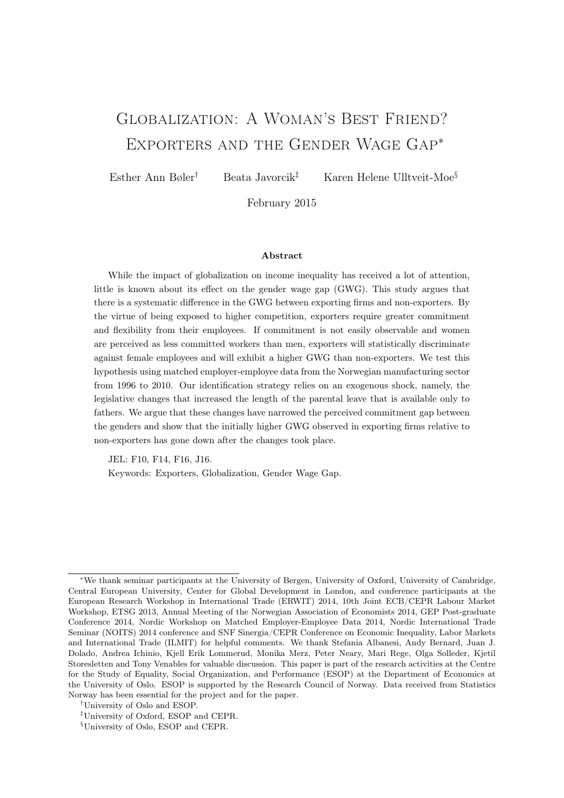# Globalization: A Woman's Best Friend? Exporters and the Gender Wage Gap<sup>∗</sup>

Esther Ann Bøler<sup>†</sup> Beata Javorcik<sup>‡</sup> Karen Helene Ulltveit-Moe<sup>§</sup>

February 2015

### Abstract

While the impact of globalization on income inequality has received a lot of attention, little is known about its effect on the gender wage gap (GWG). This study argues that there is a systematic difference in the GWG between exporting firms and non-exporters. By the virtue of being exposed to higher competition, exporters require greater commitment and flexibility from their employees. If commitment is not easily observable and women are perceived as less committed workers than men, exporters will statistically discriminate against female employees and will exhibit a higher GWG than non-exporters. We test this hypothesis using matched employer-employee data from the Norwegian manufacturing sector from 1996 to 2010. Our identification strategy relies on an exogenous shock, namely, the legislative changes that increased the length of the parental leave that is available only to fathers. We argue that these changes have narrowed the perceived commitment gap between the genders and show that the initially higher GWG observed in exporting firms relative to non-exporters has gone down after the changes took place.

JEL: F10, F14, F16, J16.

Keywords: Exporters, Globalization, Gender Wage Gap.

<sup>∗</sup>We thank seminar participants at the University of Bergen, University of Oxford, University of Cambridge, Central European University, Center for Global Development in London, and conference participants at the European Research Workshop in International Trade (ERWIT) 2014, 10th Joint ECB/CEPR Labour Market Workshop, ETSG 2013, Annual Meeting of the Norwegian Association of Economists 2014, GEP Post-graduate Conference 2014, Nordic Workshop on Matched Employer-Employee Data 2014, Nordic International Trade Seminar (NOITS) 2014 conference and SNF Sinergia/CEPR Conference on Economic Inequality, Labor Markets and International Trade (ILMIT) for helpful comments. We thank Stefania Albanesi, Andy Bernard, Juan J. Dolado, Andrea Ichinio, Kjell Erik Lommerud, Monika Merz, Peter Neary, Mari Rege, Olga Solleder, Kjetil Storesletten and Tony Venables for valuable discussion. This paper is part of the research activities at the Centre for the Study of Equality, Social Organization, and Performance (ESOP) at the Department of Economics at the University of Oslo. ESOP is supported by the Research Council of Norway. Data received from Statistics Norway has been essential for the project and for the paper.

<sup>†</sup>University of Oslo and ESOP.

<sup>‡</sup>University of Oxford, ESOP and CEPR.

<sup>§</sup>University of Oslo, ESOP and CEPR.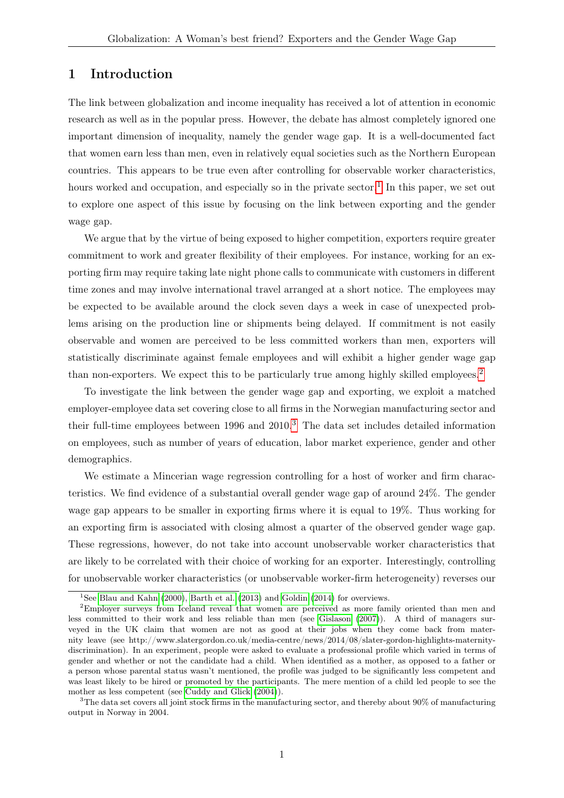### 1 Introduction

The link between globalization and income inequality has received a lot of attention in economic research as well as in the popular press. However, the debate has almost completely ignored one important dimension of inequality, namely the gender wage gap. It is a well-documented fact that women earn less than men, even in relatively equal societies such as the Northern European countries. This appears to be true even after controlling for observable worker characteristics, hours worked and occupation, and especially so in the private sector.<sup>[1](#page-1-0)</sup> In this paper, we set out to explore one aspect of this issue by focusing on the link between exporting and the gender wage gap.

We argue that by the virtue of being exposed to higher competition, exporters require greater commitment to work and greater flexibility of their employees. For instance, working for an exporting firm may require taking late night phone calls to communicate with customers in different time zones and may involve international travel arranged at a short notice. The employees may be expected to be available around the clock seven days a week in case of unexpected problems arising on the production line or shipments being delayed. If commitment is not easily observable and women are perceived to be less committed workers than men, exporters will statistically discriminate against female employees and will exhibit a higher gender wage gap than non-exporters. We expect this to be particularly true among highly skilled employees.<sup>[2](#page-1-1)</sup>

To investigate the link between the gender wage gap and exporting, we exploit a matched employer-employee data set covering close to all firms in the Norwegian manufacturing sector and their full-time employees between  $1996$  and  $2010<sup>3</sup>$  $2010<sup>3</sup>$  $2010<sup>3</sup>$ . The data set includes detailed information on employees, such as number of years of education, labor market experience, gender and other demographics.

We estimate a Mincerian wage regression controlling for a host of worker and firm characteristics. We find evidence of a substantial overall gender wage gap of around 24%. The gender wage gap appears to be smaller in exporting firms where it is equal to 19%. Thus working for an exporting firm is associated with closing almost a quarter of the observed gender wage gap. These regressions, however, do not take into account unobservable worker characteristics that are likely to be correlated with their choice of working for an exporter. Interestingly, controlling for unobservable worker characteristics (or unobservable worker-firm heterogeneity) reverses our

<span id="page-1-1"></span><span id="page-1-0"></span><sup>&</sup>lt;sup>1</sup>See [Blau and Kahn](#page-23-0) [\(2000\)](#page-23-0), [Barth et al.](#page-23-1) [\(2013\)](#page-23-1) and [Goldin](#page-23-2) [\(2014\)](#page-23-2) for overviews.

<sup>2</sup>Employer surveys from Iceland reveal that women are perceived as more family oriented than men and less committed to their work and less reliable than men (see [Gislason](#page-23-3) [\(2007\)](#page-23-3)). A third of managers surveyed in the UK claim that women are not as good at their jobs when they come back from maternity leave (see http://www.slatergordon.co.uk/media-centre/news/2014/08/slater-gordon-highlights-maternitydiscrimination). In an experiment, people were asked to evaluate a professional profile which varied in terms of gender and whether or not the candidate had a child. When identified as a mother, as opposed to a father or a person whose parental status wasn't mentioned, the profile was judged to be significantly less competent and was least likely to be hired or promoted by the participants. The mere mention of a child led people to see the mother as less competent (see [Cuddy and Glick](#page-23-4) [\(2004\)](#page-23-4)).

<span id="page-1-2"></span><sup>&</sup>lt;sup>3</sup>The data set covers all joint stock firms in the manufacturing sector, and thereby about 90% of manufacturing output in Norway in 2004.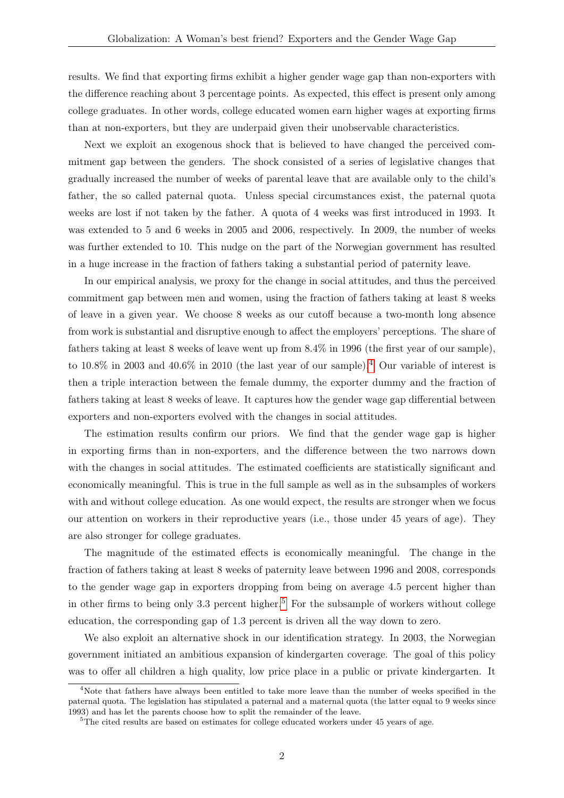results. We find that exporting firms exhibit a higher gender wage gap than non-exporters with the difference reaching about 3 percentage points. As expected, this effect is present only among college graduates. In other words, college educated women earn higher wages at exporting firms than at non-exporters, but they are underpaid given their unobservable characteristics.

Next we exploit an exogenous shock that is believed to have changed the perceived commitment gap between the genders. The shock consisted of a series of legislative changes that gradually increased the number of weeks of parental leave that are available only to the child's father, the so called paternal quota. Unless special circumstances exist, the paternal quota weeks are lost if not taken by the father. A quota of 4 weeks was first introduced in 1993. It was extended to 5 and 6 weeks in 2005 and 2006, respectively. In 2009, the number of weeks was further extended to 10. This nudge on the part of the Norwegian government has resulted in a huge increase in the fraction of fathers taking a substantial period of paternity leave.

In our empirical analysis, we proxy for the change in social attitudes, and thus the perceived commitment gap between men and women, using the fraction of fathers taking at least 8 weeks of leave in a given year. We choose 8 weeks as our cutoff because a two-month long absence from work is substantial and disruptive enough to affect the employers' perceptions. The share of fathers taking at least 8 weeks of leave went up from 8.4% in 1996 (the first year of our sample), to 10.8% in 2003 and [4](#page-2-0)0.6% in 2010 (the last year of our sample).<sup>4</sup> Our variable of interest is then a triple interaction between the female dummy, the exporter dummy and the fraction of fathers taking at least 8 weeks of leave. It captures how the gender wage gap differential between exporters and non-exporters evolved with the changes in social attitudes.

The estimation results confirm our priors. We find that the gender wage gap is higher in exporting firms than in non-exporters, and the difference between the two narrows down with the changes in social attitudes. The estimated coefficients are statistically significant and economically meaningful. This is true in the full sample as well as in the subsamples of workers with and without college education. As one would expect, the results are stronger when we focus our attention on workers in their reproductive years (i.e., those under 45 years of age). They are also stronger for college graduates.

The magnitude of the estimated effects is economically meaningful. The change in the fraction of fathers taking at least 8 weeks of paternity leave between 1996 and 2008, corresponds to the gender wage gap in exporters dropping from being on average 4.5 percent higher than in other firms to being only 3.3 percent higher.<sup>[5](#page-2-1)</sup> For the subsample of workers without college education, the corresponding gap of 1.3 percent is driven all the way down to zero.

We also exploit an alternative shock in our identification strategy. In 2003, the Norwegian government initiated an ambitious expansion of kindergarten coverage. The goal of this policy was to offer all children a high quality, low price place in a public or private kindergarten. It

<span id="page-2-0"></span><sup>4</sup>Note that fathers have always been entitled to take more leave than the number of weeks specified in the paternal quota. The legislation has stipulated a paternal and a maternal quota (the latter equal to 9 weeks since 1993) and has let the parents choose how to split the remainder of the leave.

<span id="page-2-1"></span> $5$ The cited results are based on estimates for college educated workers under 45 years of age.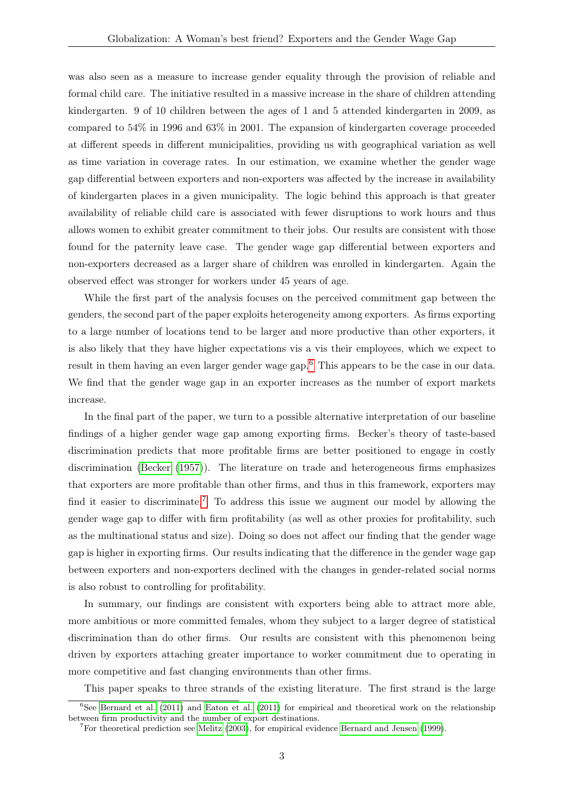was also seen as a measure to increase gender equality through the provision of reliable and formal child care. The initiative resulted in a massive increase in the share of children attending kindergarten. 9 of 10 children between the ages of 1 and 5 attended kindergarten in 2009, as compared to 54% in 1996 and 63% in 2001. The expansion of kindergarten coverage proceeded at different speeds in different municipalities, providing us with geographical variation as well as time variation in coverage rates. In our estimation, we examine whether the gender wage gap differential between exporters and non-exporters was affected by the increase in availability of kindergarten places in a given municipality. The logic behind this approach is that greater availability of reliable child care is associated with fewer disruptions to work hours and thus allows women to exhibit greater commitment to their jobs. Our results are consistent with those found for the paternity leave case. The gender wage gap differential between exporters and non-exporters decreased as a larger share of children was enrolled in kindergarten. Again the observed effect was stronger for workers under 45 years of age.

While the first part of the analysis focuses on the perceived commitment gap between the genders, the second part of the paper exploits heterogeneity among exporters. As firms exporting to a large number of locations tend to be larger and more productive than other exporters, it is also likely that they have higher expectations vis a vis their employees, which we expect to result in them having an even larger gender wage gap.<sup>[6](#page-3-0)</sup> This appears to be the case in our data. We find that the gender wage gap in an exporter increases as the number of export markets increase.

In the final part of the paper, we turn to a possible alternative interpretation of our baseline findings of a higher gender wage gap among exporting firms. Becker's theory of taste-based discrimination predicts that more profitable firms are better positioned to engage in costly discrimination [\(Becker](#page-23-5) [\(1957\)](#page-23-5)). The literature on trade and heterogeneous firms emphasizes that exporters are more profitable than other firms, and thus in this framework, exporters may find it easier to discriminate.<sup>[7](#page-3-1)</sup> To address this issue we augment our model by allowing the gender wage gap to differ with firm profitability (as well as other proxies for profitability, such as the multinational status and size). Doing so does not affect our finding that the gender wage gap is higher in exporting firms. Our results indicating that the difference in the gender wage gap between exporters and non-exporters declined with the changes in gender-related social norms is also robust to controlling for profitability.

In summary, our findings are consistent with exporters being able to attract more able, more ambitious or more committed females, whom they subject to a larger degree of statistical discrimination than do other firms. Our results are consistent with this phenomenon being driven by exporters attaching greater importance to worker commitment due to operating in more competitive and fast changing environments than other firms.

<span id="page-3-0"></span>This paper speaks to three strands of the existing literature. The first strand is the large

 ${}^{6}$ See [Bernard et al.](#page-23-6) [\(2011\)](#page-23-7) and [Eaton et al.](#page-23-7) (2011) for empirical and theoretical work on the relationship between firm productivity and the number of export destinations.

<span id="page-3-1"></span><sup>7</sup>For theoretical prediction see [Melitz](#page-24-0) [\(2003\)](#page-24-0), for empirical evidence [Bernard and Jensen](#page-23-8) [\(1999\)](#page-23-8).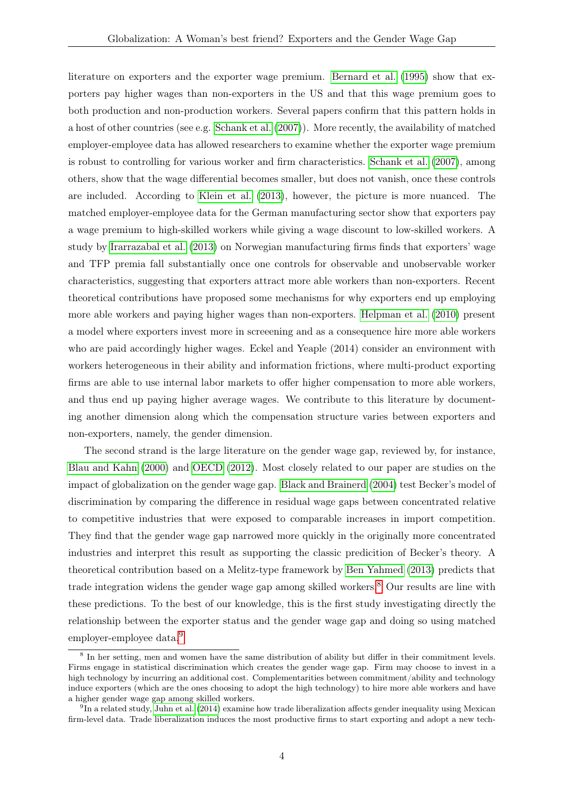literature on exporters and the exporter wage premium. [Bernard et al.](#page-23-9) [\(1995\)](#page-23-9) show that exporters pay higher wages than non-exporters in the US and that this wage premium goes to both production and non-production workers. Several papers confirm that this pattern holds in a host of other countries (see e.g. [Schank et al.](#page-24-1) [\(2007\)](#page-24-1)). More recently, the availability of matched employer-employee data has allowed researchers to examine whether the exporter wage premium is robust to controlling for various worker and firm characteristics. [Schank et al.](#page-24-1) [\(2007\)](#page-24-1), among others, show that the wage differential becomes smaller, but does not vanish, once these controls are included. According to [Klein et al.](#page-24-2) [\(2013\)](#page-24-2), however, the picture is more nuanced. The matched employer-employee data for the German manufacturing sector show that exporters pay a wage premium to high-skilled workers while giving a wage discount to low-skilled workers. A study by [Irarrazabal et al.](#page-24-3) [\(2013\)](#page-24-3) on Norwegian manufacturing firms finds that exporters' wage and TFP premia fall substantially once one controls for observable and unobservable worker characteristics, suggesting that exporters attract more able workers than non-exporters. Recent theoretical contributions have proposed some mechanisms for why exporters end up employing more able workers and paying higher wages than non-exporters. [Helpman et al.](#page-23-10) [\(2010\)](#page-23-10) present a model where exporters invest more in screeening and as a consequence hire more able workers who are paid accordingly higher wages. Eckel and Yeaple (2014) consider an environment with workers heterogeneous in their ability and information frictions, where multi-product exporting firms are able to use internal labor markets to offer higher compensation to more able workers, and thus end up paying higher average wages. We contribute to this literature by documenting another dimension along which the compensation structure varies between exporters and non-exporters, namely, the gender dimension.

The second strand is the large literature on the gender wage gap, reviewed by, for instance, [Blau and Kahn](#page-23-0) [\(2000\)](#page-23-0) and [OECD](#page-24-4) [\(2012\)](#page-24-4). Most closely related to our paper are studies on the impact of globalization on the gender wage gap. [Black and Brainerd](#page-23-11) [\(2004\)](#page-23-11) test Becker's model of discrimination by comparing the difference in residual wage gaps between concentrated relative to competitive industries that were exposed to comparable increases in import competition. They find that the gender wage gap narrowed more quickly in the originally more concentrated industries and interpret this result as supporting the classic predicition of Becker's theory. A theoretical contribution based on a Melitz-type framework by [Ben Yahmed](#page-23-12) [\(2013\)](#page-23-12) predicts that trade integration widens the gender wage gap among skilled workers.<sup>[8](#page-4-0)</sup> Our results are line with these predictions. To the best of our knowledge, this is the first study investigating directly the relationship between the exporter status and the gender wage gap and doing so using matched employer-employee data.<sup>[9](#page-4-1)</sup>

<span id="page-4-0"></span><sup>8</sup> In her setting, men and women have the same distribution of ability but differ in their commitment levels. Firms engage in statistical discrimination which creates the gender wage gap. Firm may choose to invest in a high technology by incurring an additional cost. Complementarities between commitment/ability and technology induce exporters (which are the ones choosing to adopt the high technology) to hire more able workers and have a higher gender wage gap among skilled workers.

<span id="page-4-1"></span><sup>&</sup>lt;sup>9</sup>In a related study, [Juhn et al.](#page-24-5) [\(2014\)](#page-24-5) examine how trade liberalization affects gender inequality using Mexican firm-level data. Trade liberalization induces the most productive firms to start exporting and adopt a new tech-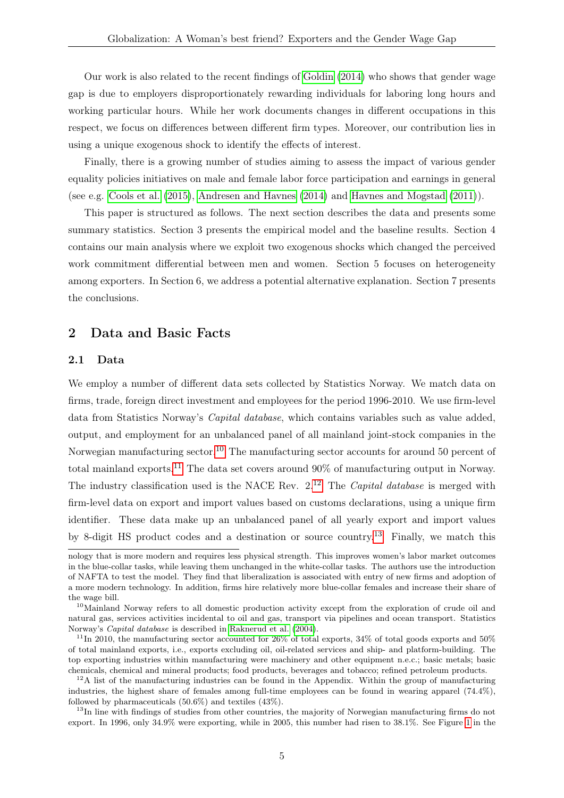Our work is also related to the recent findings of [Goldin](#page-23-2) [\(2014\)](#page-23-2) who shows that gender wage gap is due to employers disproportionately rewarding individuals for laboring long hours and working particular hours. While her work documents changes in different occupations in this respect, we focus on differences between different firm types. Moreover, our contribution lies in using a unique exogenous shock to identify the effects of interest.

Finally, there is a growing number of studies aiming to assess the impact of various gender equality policies initiatives on male and female labor force participation and earnings in general (see e.g. [Cools et al.](#page-23-13) [\(2015\)](#page-23-13), [Andresen and Havnes](#page-23-14) [\(2014\)](#page-23-14) and [Havnes and Mogstad](#page-23-15) [\(2011\)](#page-23-15)).

This paper is structured as follows. The next section describes the data and presents some summary statistics. Section 3 presents the empirical model and the baseline results. Section 4 contains our main analysis where we exploit two exogenous shocks which changed the perceived work commitment differential between men and women. Section 5 focuses on heterogeneity among exporters. In Section 6, we address a potential alternative explanation. Section 7 presents the conclusions.

### 2 Data and Basic Facts

### 2.1 Data

We employ a number of different data sets collected by Statistics Norway. We match data on firms, trade, foreign direct investment and employees for the period 1996-2010. We use firm-level data from Statistics Norway's Capital database, which contains variables such as value added, output, and employment for an unbalanced panel of all mainland joint-stock companies in the Norwegian manufacturing sector.<sup>[10](#page-5-0)</sup> The manufacturing sector accounts for around 50 percent of total mainland exports.<sup>[11](#page-5-1)</sup> The data set covers around  $90\%$  of manufacturing output in Norway. The industry classification used is the NACE Rev.  $2^{12}$  $2^{12}$  $2^{12}$  The *Capital database* is merged with firm-level data on export and import values based on customs declarations, using a unique firm identifier. These data make up an unbalanced panel of all yearly export and import values by 8-digit HS product codes and a destination or source country.[13](#page-5-3) Finally, we match this

nology that is more modern and requires less physical strength. This improves women's labor market outcomes in the blue-collar tasks, while leaving them unchanged in the white-collar tasks. The authors use the introduction of NAFTA to test the model. They find that liberalization is associated with entry of new firms and adoption of a more modern technology. In addition, firms hire relatively more blue-collar females and increase their share of the wage bill.

<span id="page-5-0"></span><sup>10</sup>Mainland Norway refers to all domestic production activity except from the exploration of crude oil and natural gas, services activities incidental to oil and gas, transport via pipelines and ocean transport. Statistics Norway's Capital database is described in [Raknerud et al.](#page-24-6) [\(2004\)](#page-24-6).

<span id="page-5-1"></span><sup>&</sup>lt;sup>11</sup>In 2010, the manufacturing sector accounted for  $26\%$  of total exports,  $34\%$  of total goods exports and  $50\%$ of total mainland exports, i.e., exports excluding oil, oil-related services and ship- and platform-building. The top exporting industries within manufacturing were machinery and other equipment n.e.c.; basic metals; basic chemicals, chemical and mineral products; food products, beverages and tobacco; refined petroleum products.

<span id="page-5-2"></span> $12A$  list of the manufacturing industries can be found in the Appendix. Within the group of manufacturing industries, the highest share of females among full-time employees can be found in wearing apparel (74.4%), followed by pharmaceuticals (50.6%) and textiles (43%).

<span id="page-5-3"></span><sup>&</sup>lt;sup>13</sup>In line with findings of studies from other countries, the majority of Norwegian manufacturing firms do not export. In 1996, only 34.9% were exporting, while in 2005, this number had risen to 38.1%. See Figure [1](#page-26-0) in the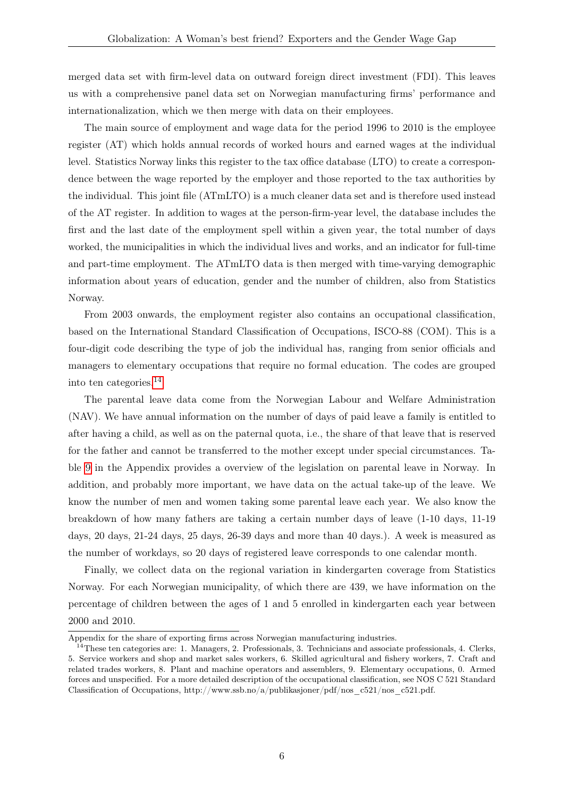merged data set with firm-level data on outward foreign direct investment (FDI). This leaves us with a comprehensive panel data set on Norwegian manufacturing firms' performance and internationalization, which we then merge with data on their employees.

The main source of employment and wage data for the period 1996 to 2010 is the employee register (AT) which holds annual records of worked hours and earned wages at the individual level. Statistics Norway links this register to the tax office database (LTO) to create a correspondence between the wage reported by the employer and those reported to the tax authorities by the individual. This joint file (ATmLTO) is a much cleaner data set and is therefore used instead of the AT register. In addition to wages at the person-firm-year level, the database includes the first and the last date of the employment spell within a given year, the total number of days worked, the municipalities in which the individual lives and works, and an indicator for full-time and part-time employment. The ATmLTO data is then merged with time-varying demographic information about years of education, gender and the number of children, also from Statistics Norway.

From 2003 onwards, the employment register also contains an occupational classification, based on the International Standard Classification of Occupations, ISCO-88 (COM). This is a four-digit code describing the type of job the individual has, ranging from senior officials and managers to elementary occupations that require no formal education. The codes are grouped into ten categories.[14](#page-6-0)

The parental leave data come from the Norwegian Labour and Welfare Administration (NAV). We have annual information on the number of days of paid leave a family is entitled to after having a child, as well as on the paternal quota, i.e., the share of that leave that is reserved for the father and cannot be transferred to the mother except under special circumstances. Table [9](#page-26-1) in the Appendix provides a overview of the legislation on parental leave in Norway. In addition, and probably more important, we have data on the actual take-up of the leave. We know the number of men and women taking some parental leave each year. We also know the breakdown of how many fathers are taking a certain number days of leave (1-10 days, 11-19 days, 20 days, 21-24 days, 25 days, 26-39 days and more than 40 days.). A week is measured as the number of workdays, so 20 days of registered leave corresponds to one calendar month.

Finally, we collect data on the regional variation in kindergarten coverage from Statistics Norway. For each Norwegian municipality, of which there are 439, we have information on the percentage of children between the ages of 1 and 5 enrolled in kindergarten each year between 2000 and 2010.

Appendix for the share of exporting firms across Norwegian manufacturing industries.

<span id="page-6-0"></span><sup>&</sup>lt;sup>14</sup>These ten categories are: 1. Managers, 2. Professionals, 3. Technicians and associate professionals, 4. Clerks, 5. Service workers and shop and market sales workers, 6. Skilled agricultural and fishery workers, 7. Craft and related trades workers, 8. Plant and machine operators and assemblers, 9. Elementary occupations, 0. Armed forces and unspecified. For a more detailed description of the occupational classification, see NOS C 521 Standard Classification of Occupations, http://www.ssb.no/a/publikasjoner/pdf/nos\_c521/nos\_c521.pdf.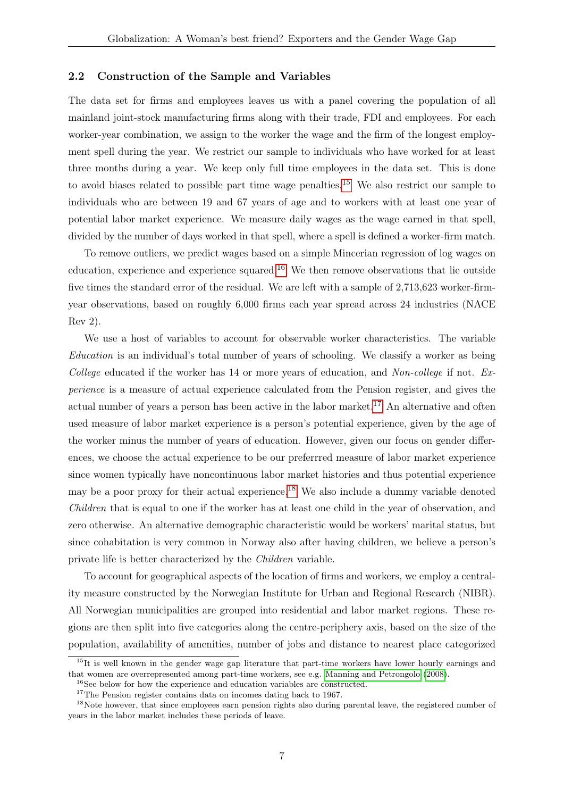#### <span id="page-7-4"></span>2.2 Construction of the Sample and Variables

The data set for firms and employees leaves us with a panel covering the population of all mainland joint-stock manufacturing firms along with their trade, FDI and employees. For each worker-year combination, we assign to the worker the wage and the firm of the longest employment spell during the year. We restrict our sample to individuals who have worked for at least three months during a year. We keep only full time employees in the data set. This is done to avoid biases related to possible part time wage penalties.[15](#page-7-0) We also restrict our sample to individuals who are between 19 and 67 years of age and to workers with at least one year of potential labor market experience. We measure daily wages as the wage earned in that spell, divided by the number of days worked in that spell, where a spell is defined a worker-firm match.

To remove outliers, we predict wages based on a simple Mincerian regression of log wages on education, experience and experience squared.<sup>[16](#page-7-1)</sup> We then remove observations that lie outside five times the standard error of the residual. We are left with a sample of 2,713,623 worker-firmyear observations, based on roughly 6,000 firms each year spread across 24 industries (NACE Rev 2).

We use a host of variables to account for observable worker characteristics. The variable Education is an individual's total number of years of schooling. We classify a worker as being College educated if the worker has 14 or more years of education, and Non-college if not. Experience is a measure of actual experience calculated from the Pension register, and gives the actual number of years a person has been active in the labor market.<sup>[17](#page-7-2)</sup> An alternative and often used measure of labor market experience is a person's potential experience, given by the age of the worker minus the number of years of education. However, given our focus on gender differences, we choose the actual experience to be our preferrred measure of labor market experience since women typically have noncontinuous labor market histories and thus potential experience may be a poor proxy for their actual experience.<sup>[18](#page-7-3)</sup> We also include a dummy variable denoted Children that is equal to one if the worker has at least one child in the year of observation, and zero otherwise. An alternative demographic characteristic would be workers' marital status, but since cohabitation is very common in Norway also after having children, we believe a person's private life is better characterized by the Children variable.

To account for geographical aspects of the location of firms and workers, we employ a centrality measure constructed by the Norwegian Institute for Urban and Regional Research (NIBR). All Norwegian municipalities are grouped into residential and labor market regions. These regions are then split into five categories along the centre-periphery axis, based on the size of the population, availability of amenities, number of jobs and distance to nearest place categorized

<span id="page-7-0"></span><sup>&</sup>lt;sup>15</sup>It is well known in the gender wage gap literature that part-time workers have lower hourly earnings and that women are overrepresented among part-time workers, see e.g. [Manning and Petrongolo](#page-24-7) [\(2008\)](#page-24-7).

<span id="page-7-1"></span><sup>&</sup>lt;sup>16</sup>See below for how the experience and education variables are constructed.

<span id="page-7-3"></span><span id="page-7-2"></span><sup>&</sup>lt;sup>17</sup>The Pension register contains data on incomes dating back to 1967.

<sup>&</sup>lt;sup>18</sup>Note however, that since employees earn pension rights also during parental leave, the registered number of years in the labor market includes these periods of leave.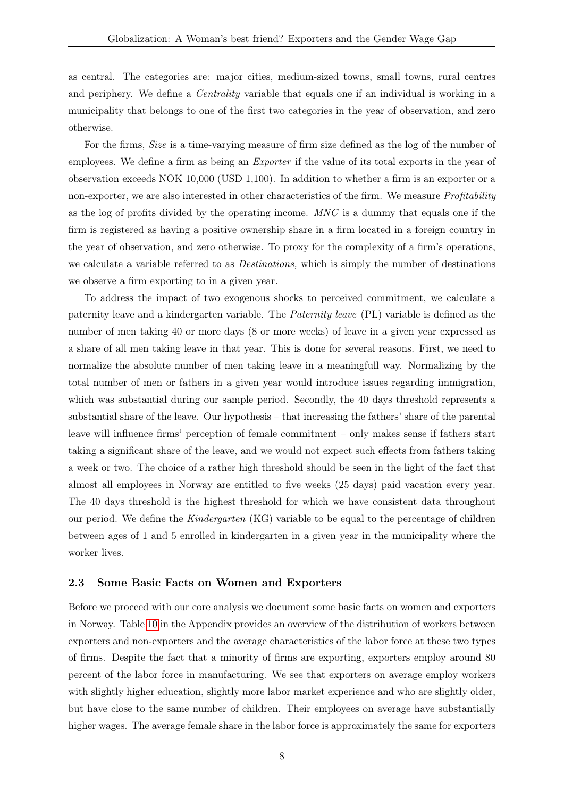as central. The categories are: major cities, medium-sized towns, small towns, rural centres and periphery. We define a *Centrality* variable that equals one if an individual is working in a municipality that belongs to one of the first two categories in the year of observation, and zero otherwise.

For the firms, Size is a time-varying measure of firm size defined as the log of the number of employees. We define a firm as being an *Exporter* if the value of its total exports in the year of observation exceeds NOK 10,000 (USD 1,100). In addition to whether a firm is an exporter or a non-exporter, we are also interested in other characteristics of the firm. We measure *Profitability* as the log of profits divided by the operating income. MNC is a dummy that equals one if the firm is registered as having a positive ownership share in a firm located in a foreign country in the year of observation, and zero otherwise. To proxy for the complexity of a firm's operations, we calculate a variable referred to as *Destinations*, which is simply the number of destinations we observe a firm exporting to in a given year.

To address the impact of two exogenous shocks to perceived commitment, we calculate a paternity leave and a kindergarten variable. The Paternity leave (PL) variable is defined as the number of men taking 40 or more days (8 or more weeks) of leave in a given year expressed as a share of all men taking leave in that year. This is done for several reasons. First, we need to normalize the absolute number of men taking leave in a meaningfull way. Normalizing by the total number of men or fathers in a given year would introduce issues regarding immigration, which was substantial during our sample period. Secondly, the 40 days threshold represents a substantial share of the leave. Our hypothesis – that increasing the fathers' share of the parental leave will influence firms' perception of female commitment – only makes sense if fathers start taking a significant share of the leave, and we would not expect such effects from fathers taking a week or two. The choice of a rather high threshold should be seen in the light of the fact that almost all employees in Norway are entitled to five weeks (25 days) paid vacation every year. The 40 days threshold is the highest threshold for which we have consistent data throughout our period. We define the Kindergarten (KG) variable to be equal to the percentage of children between ages of 1 and 5 enrolled in kindergarten in a given year in the municipality where the worker lives.

#### 2.3 Some Basic Facts on Women and Exporters

Before we proceed with our core analysis we document some basic facts on women and exporters in Norway. Table [10](#page-27-0) in the Appendix provides an overview of the distribution of workers between exporters and non-exporters and the average characteristics of the labor force at these two types of firms. Despite the fact that a minority of firms are exporting, exporters employ around 80 percent of the labor force in manufacturing. We see that exporters on average employ workers with slightly higher education, slightly more labor market experience and who are slightly older, but have close to the same number of children. Their employees on average have substantially higher wages. The average female share in the labor force is approximately the same for exporters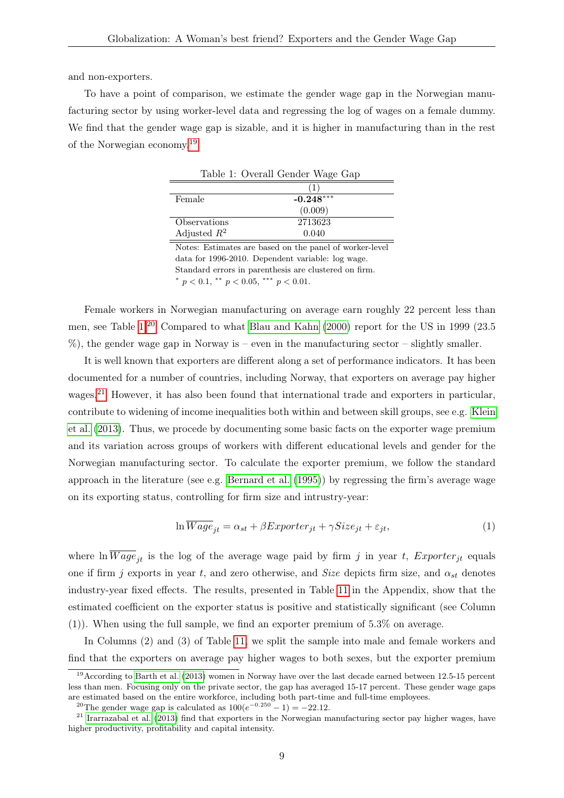and non-exporters.

To have a point of comparison, we estimate the gender wage gap in the Norwegian manufacturing sector by using worker-level data and regressing the log of wages on a female dummy. We find that the gender wage gap is sizable, and it is higher in manufacturing than in the rest of the Norwegian economy.[19](#page-9-0)

<span id="page-9-1"></span>

|                | Table 1: Overall Gender Wage Gap |
|----------------|----------------------------------|
|                |                                  |
| Female         | $-0.248***$                      |
|                | (0.009)                          |
| Observations   | 2713623                          |
| Adjusted $R^2$ | 0.040                            |

Notes: Estimates are based on the panel of worker-level data for 1996-2010. Dependent variable: log wage. Standard errors in parenthesis are clustered on firm.

\*  $p < 0.1$ , \*\*  $p < 0.05$ , \*\*\*  $p < 0.01$ .

Female workers in Norwegian manufacturing on average earn roughly 22 percent less than men, see Table [1.](#page-9-1)[20](#page-9-2) Compared to what [Blau and Kahn](#page-23-0) [\(2000\)](#page-23-0) report for the US in 1999 (23.5 %), the gender wage gap in Norway is – even in the manufacturing sector – slightly smaller.

It is well known that exporters are different along a set of performance indicators. It has been documented for a number of countries, including Norway, that exporters on average pay higher wages.<sup>[21](#page-9-3)</sup> However, it has also been found that international trade and exporters in particular, contribute to widening of income inequalities both within and between skill groups, see e.g. [Klein](#page-24-2) [et al.](#page-24-2) [\(2013\)](#page-24-2). Thus, we procede by documenting some basic facts on the exporter wage premium and its variation across groups of workers with different educational levels and gender for the Norwegian manufacturing sector. To calculate the exporter premium, we follow the standard approach in the literature (see e.g. [Bernard et al.](#page-23-9) [\(1995\)](#page-23-9)) by regressing the firm's average wage on its exporting status, controlling for firm size and intrustry-year:

$$
\ln \overline{Wage}_{jt} = \alpha_{st} + \beta Exporter_{jt} + \gamma Size_{jt} + \varepsilon_{jt},\tag{1}
$$

where  $\ln \overline{Wage}_{it}$  is the log of the average wage paid by firm j in year t,  $Experiment_{it}$  equals one if firm j exports in year t, and zero otherwise, and Size depicts firm size, and  $\alpha_{st}$  denotes industry-year fixed effects. The results, presented in Table [11](#page-27-1) in the Appendix, show that the estimated coefficient on the exporter status is positive and statistically significant (see Column (1)). When using the full sample, we find an exporter premium of 5.3% on average.

In Columns (2) and (3) of Table [11,](#page-27-1) we split the sample into male and female workers and find that the exporters on average pay higher wages to both sexes, but the exporter premium

<span id="page-9-0"></span><sup>&</sup>lt;sup>19</sup> According to [Barth et al.](#page-23-1) [\(2013\)](#page-23-1) women in Norway have over the last decade earned between 12.5-15 percent less than men. Focusing only on the private sector, the gap has averaged 15-17 percent. These gender wage gaps are estimated based on the entire workforce, including both part-time and full-time employees.

<span id="page-9-3"></span><span id="page-9-2"></span><sup>&</sup>lt;sup>20</sup>The gender wage gap is calculated as  $100(e^{-0.250} - 1) = -22.12$ .

<sup>&</sup>lt;sup>21</sup> [Irarrazabal et al.](#page-24-3) [\(2013\)](#page-24-3) find that exporters in the Norwegian manufacturing sector pay higher wages, have higher productivity, profitability and capital intensity.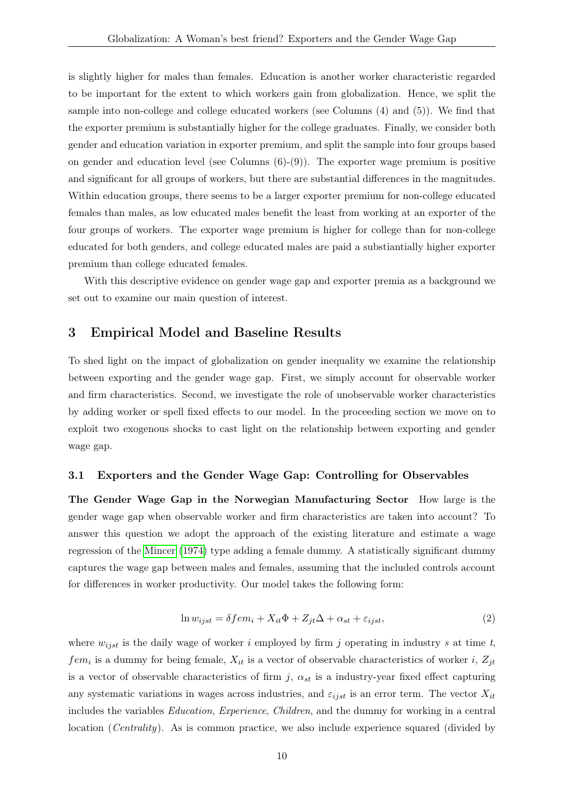is slightly higher for males than females. Education is another worker characteristic regarded to be important for the extent to which workers gain from globalization. Hence, we split the sample into non-college and college educated workers (see Columns (4) and (5)). We find that the exporter premium is substantially higher for the college graduates. Finally, we consider both gender and education variation in exporter premium, and split the sample into four groups based on gender and education level (see Columns  $(6)-(9)$ ). The exporter wage premium is positive and significant for all groups of workers, but there are substantial differences in the magnitudes. Within education groups, there seems to be a larger exporter premium for non-college educated females than males, as low educated males benefit the least from working at an exporter of the four groups of workers. The exporter wage premium is higher for college than for non-college educated for both genders, and college educated males are paid a substiantially higher exporter premium than college educated females.

With this descriptive evidence on gender wage gap and exporter premia as a background we set out to examine our main question of interest.

## 3 Empirical Model and Baseline Results

To shed light on the impact of globalization on gender inequality we examine the relationship between exporting and the gender wage gap. First, we simply account for observable worker and firm characteristics. Second, we investigate the role of unobservable worker characteristics by adding worker or spell fixed effects to our model. In the proceeding section we move on to exploit two exogenous shocks to cast light on the relationship between exporting and gender wage gap.

#### 3.1 Exporters and the Gender Wage Gap: Controlling for Observables

The Gender Wage Gap in the Norwegian Manufacturing Sector How large is the gender wage gap when observable worker and firm characteristics are taken into account? To answer this question we adopt the approach of the existing literature and estimate a wage regression of the [Mincer](#page-24-8) [\(1974\)](#page-24-8) type adding a female dummy. A statistically significant dummy captures the wage gap between males and females, assuming that the included controls account for differences in worker productivity. Our model takes the following form:

$$
\ln w_{ijst} = \delta f e m_i + X_{it} \Phi + Z_{jt} \Delta + \alpha_{st} + \varepsilon_{ijst},\tag{2}
$$

where  $w_{ijst}$  is the daily wage of worker i employed by firm j operating in industry s at time t,  $fem_i$  is a dummy for being female,  $X_{it}$  is a vector of observable characteristics of worker i,  $Z_{jt}$ is a vector of observable characteristics of firm j,  $\alpha_{st}$  is a industry-year fixed effect capturing any systematic variations in wages across industries, and  $\varepsilon_{ijst}$  is an error term. The vector  $X_{it}$ includes the variables Education, Experience, Children, and the dummy for working in a central location (*Centrality*). As is common practice, we also include experience squared (divided by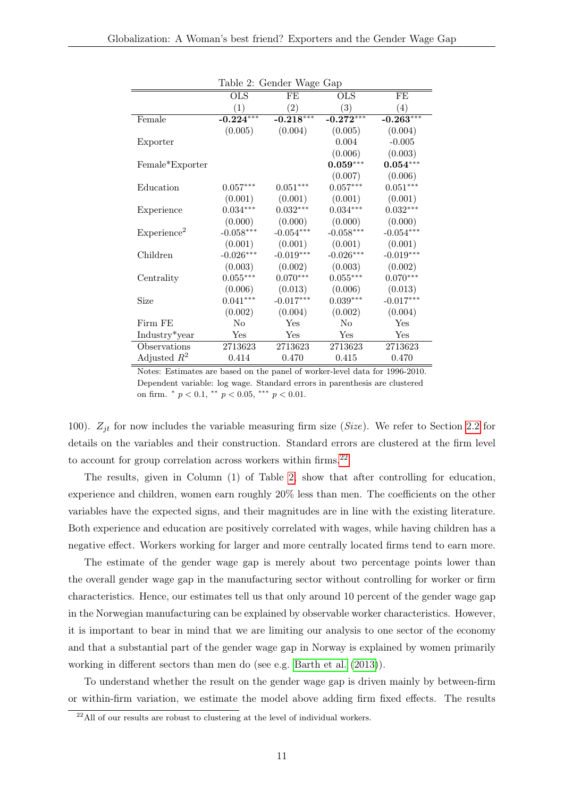|                         |             | rabie 2. Genuer wage Gap |                   |                   |
|-------------------------|-------------|--------------------------|-------------------|-------------------|
|                         | <b>OLS</b>  | FE                       | <b>OLS</b>        | FE                |
|                         | (1)         | $\left( 2\right)$        | $\left( 3\right)$ | $\left( 4\right)$ |
| Female                  | $-0.224***$ | $-0.218***$              | $-0.272***$       | $-0.263***$       |
|                         | (0.005)     | (0.004)                  | (0.005)           | (0.004)           |
| Exporter                |             |                          | 0.004             | $-0.005$          |
|                         |             |                          | (0.006)           | (0.003)           |
| Female*Exporter         |             |                          | $0.059***$        | $0.054***$        |
|                         |             |                          | (0.007)           | (0.006)           |
| Education               | $0.057***$  | $0.051***$               | $0.057***$        | $0.051***$        |
|                         | (0.001)     | (0.001)                  | (0.001)           | (0.001)           |
| Experience              | $0.034***$  | $0.032***$               | $0.034***$        | $0.032***$        |
|                         | (0.000)     | (0.000)                  | (0.000)           | (0.000)           |
| Experience <sup>2</sup> | $-0.058***$ | $-0.054***$              | $-0.058***$       | $-0.054***$       |
|                         | (0.001)     | (0.001)                  | (0.001)           | (0.001)           |
| Children                | $-0.026***$ | $-0.019***$              | $-0.026***$       | $-0.019***$       |
|                         | (0.003)     | (0.002)                  | (0.003)           | (0.002)           |
| Centrality              | $0.055***$  | $0.070***$               | $0.055***$        | $0.070***$        |
|                         | (0.006)     | (0.013)                  | (0.006)           | (0.013)           |
| Size                    | $0.041***$  | $-0.017***$              | $0.039***$        | $-0.017***$       |
|                         | (0.002)     | (0.004)                  | (0.002)           | (0.004)           |
| Firm FE                 | No          | Yes                      | N <sub>o</sub>    | Yes               |
| Industry*year           | Yes         | Yes                      | Yes               | Yes               |
| Observations            | 2713623     | 2713623                  | 2713623           | 2713623           |
| Adjusted $R^2$          | 0.414       | 0.470                    | 0.415             | 0.470             |

<span id="page-11-1"></span>Table 2: Gender Wage Gap

Notes: Estimates are based on the panel of worker-level data for 1996-2010. Dependent variable: log wage. Standard errors in parenthesis are clustered on firm.  $\degree p < 0.1, \degree \degree p < 0.05, \degree \degree \degree p < 0.01.$ 

100).  $Z_{it}$  for now includes the variable measuring firm size (Size). We refer to Section [2.2](#page-7-4) for details on the variables and their construction. Standard errors are clustered at the firm level to account for group correlation across workers within firms.  $^{22}$  $^{22}$  $^{22}$ 

The results, given in Column (1) of Table [2,](#page-11-1) show that after controlling for education, experience and children, women earn roughly 20% less than men. The coefficients on the other variables have the expected signs, and their magnitudes are in line with the existing literature. Both experience and education are positively correlated with wages, while having children has a negative effect. Workers working for larger and more centrally located firms tend to earn more.

The estimate of the gender wage gap is merely about two percentage points lower than the overall gender wage gap in the manufacturing sector without controlling for worker or firm characteristics. Hence, our estimates tell us that only around 10 percent of the gender wage gap in the Norwegian manufacturing can be explained by observable worker characteristics. However, it is important to bear in mind that we are limiting our analysis to one sector of the economy and that a substantial part of the gender wage gap in Norway is explained by women primarily working in different sectors than men do (see e.g. [Barth et al.](#page-23-1) [\(2013\)](#page-23-1)).

To understand whether the result on the gender wage gap is driven mainly by between-firm or within-firm variation, we estimate the model above adding firm fixed effects. The results

<span id="page-11-0"></span> $\overline{a^{22}$ All of our results are robust to clustering at the level of individual workers.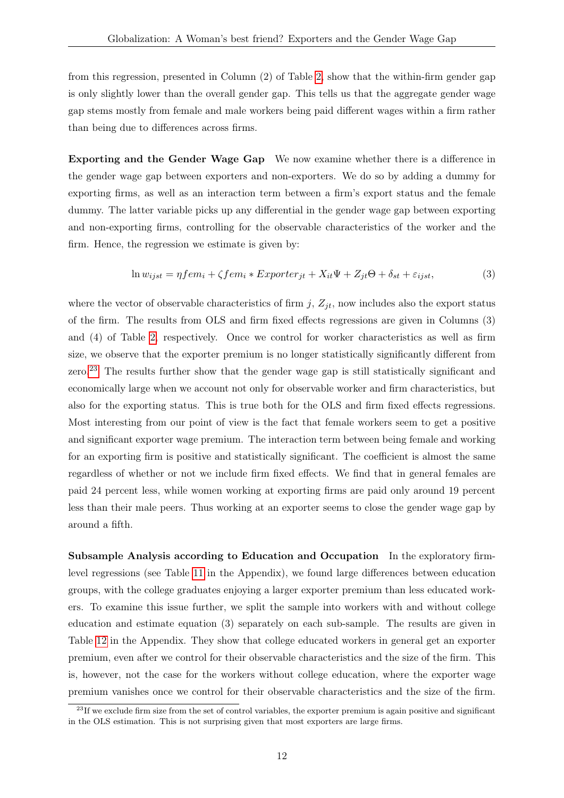from this regression, presented in Column (2) of Table [2,](#page-11-1) show that the within-firm gender gap is only slightly lower than the overall gender gap. This tells us that the aggregate gender wage gap stems mostly from female and male workers being paid different wages within a firm rather than being due to differences across firms.

Exporting and the Gender Wage Gap We now examine whether there is a difference in the gender wage gap between exporters and non-exporters. We do so by adding a dummy for exporting firms, as well as an interaction term between a firm's export status and the female dummy. The latter variable picks up any differential in the gender wage gap between exporting and non-exporting firms, controlling for the observable characteristics of the worker and the firm. Hence, the regression we estimate is given by:

$$
\ln w_{ijst} = \eta f e m_i + \zeta f e m_i * Exporter_{jt} + X_{it} \Psi + Z_{jt} \Theta + \delta_{st} + \varepsilon_{ijst},\tag{3}
$$

where the vector of observable characteristics of firm  $j$ ,  $Z_{jt}$ , now includes also the export status of the firm. The results from OLS and firm fixed effects regressions are given in Columns (3) and (4) of Table [2,](#page-11-1) respectively. Once we control for worker characteristics as well as firm size, we observe that the exporter premium is no longer statistically significantly different from zero.[23](#page-12-0) The results further show that the gender wage gap is still statistically significant and economically large when we account not only for observable worker and firm characteristics, but also for the exporting status. This is true both for the OLS and firm fixed effects regressions. Most interesting from our point of view is the fact that female workers seem to get a positive and significant exporter wage premium. The interaction term between being female and working for an exporting firm is positive and statistically significant. The coefficient is almost the same regardless of whether or not we include firm fixed effects. We find that in general females are paid 24 percent less, while women working at exporting firms are paid only around 19 percent less than their male peers. Thus working at an exporter seems to close the gender wage gap by around a fifth.

Subsample Analysis according to Education and Occupation In the exploratory firmlevel regressions (see Table [11](#page-27-1) in the Appendix), we found large differences between education groups, with the college graduates enjoying a larger exporter premium than less educated workers. To examine this issue further, we split the sample into workers with and without college education and estimate equation (3) separately on each sub-sample. The results are given in Table [12](#page-28-0) in the Appendix. They show that college educated workers in general get an exporter premium, even after we control for their observable characteristics and the size of the firm. This is, however, not the case for the workers without college education, where the exporter wage premium vanishes once we control for their observable characteristics and the size of the firm.

<span id="page-12-0"></span> $^{23}$ If we exclude firm size from the set of control variables, the exporter premium is again positive and significant in the OLS estimation. This is not surprising given that most exporters are large firms.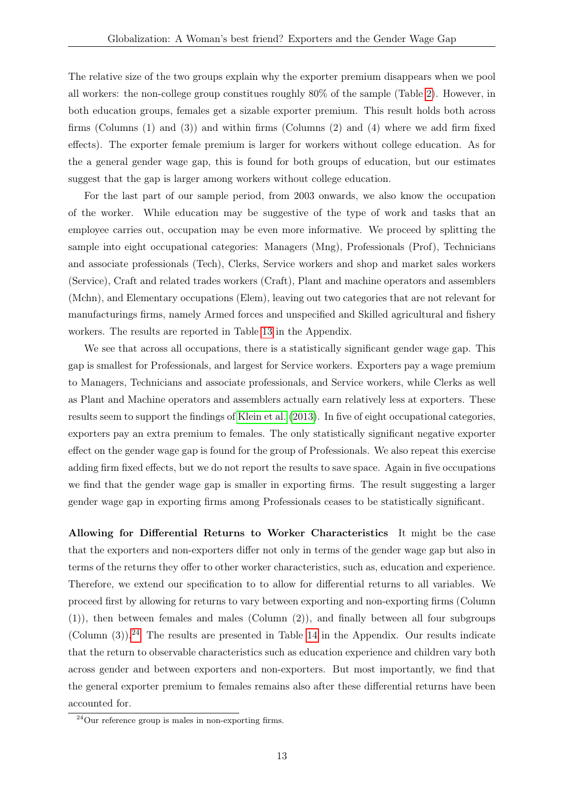The relative size of the two groups explain why the exporter premium disappears when we pool all workers: the non-college group constitues roughly 80% of the sample (Table [2\)](#page-11-1). However, in both education groups, females get a sizable exporter premium. This result holds both across firms (Columns (1) and (3)) and within firms (Columns (2) and (4) where we add firm fixed effects). The exporter female premium is larger for workers without college education. As for the a general gender wage gap, this is found for both groups of education, but our estimates suggest that the gap is larger among workers without college education.

For the last part of our sample period, from 2003 onwards, we also know the occupation of the worker. While education may be suggestive of the type of work and tasks that an employee carries out, occupation may be even more informative. We proceed by splitting the sample into eight occupational categories: Managers (Mng), Professionals (Prof), Technicians and associate professionals (Tech), Clerks, Service workers and shop and market sales workers (Service), Craft and related trades workers (Craft), Plant and machine operators and assemblers (Mchn), and Elementary occupations (Elem), leaving out two categories that are not relevant for manufacturings firms, namely Armed forces and unspecified and Skilled agricultural and fishery workers. The results are reported in Table [13](#page-29-0) in the Appendix.

We see that across all occupations, there is a statistically significant gender wage gap. This gap is smallest for Professionals, and largest for Service workers. Exporters pay a wage premium to Managers, Technicians and associate professionals, and Service workers, while Clerks as well as Plant and Machine operators and assemblers actually earn relatively less at exporters. These results seem to support the findings of [Klein et al.](#page-24-2) [\(2013\)](#page-24-2). In five of eight occupational categories, exporters pay an extra premium to females. The only statistically significant negative exporter effect on the gender wage gap is found for the group of Professionals. We also repeat this exercise adding firm fixed effects, but we do not report the results to save space. Again in five occupations we find that the gender wage gap is smaller in exporting firms. The result suggesting a larger gender wage gap in exporting firms among Professionals ceases to be statistically significant.

Allowing for Differential Returns to Worker Characteristics It might be the case that the exporters and non-exporters differ not only in terms of the gender wage gap but also in terms of the returns they offer to other worker characteristics, such as, education and experience. Therefore, we extend our specification to to allow for differential returns to all variables. We proceed first by allowing for returns to vary between exporting and non-exporting firms (Column (1)), then between females and males (Column (2)), and finally between all four subgroups  $(Column (3)).^{24}$  $(Column (3)).^{24}$  $(Column (3)).^{24}$  The results are presented in Table [14](#page-30-0) in the Appendix. Our results indicate that the return to observable characteristics such as education experience and children vary both across gender and between exporters and non-exporters. But most importantly, we find that the general exporter premium to females remains also after these differential returns have been accounted for.

<span id="page-13-0"></span><sup>24</sup>Our reference group is males in non-exporting firms.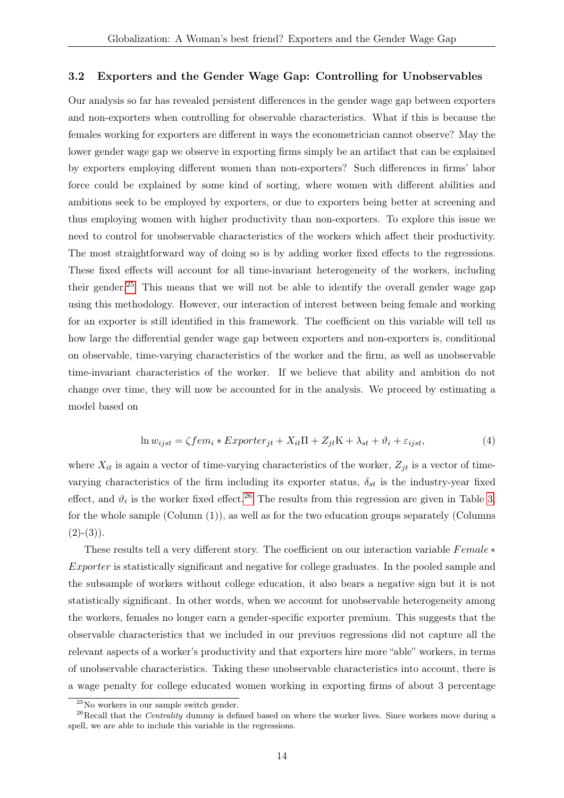#### <span id="page-14-3"></span>3.2 Exporters and the Gender Wage Gap: Controlling for Unobservables

Our analysis so far has revealed persistent differences in the gender wage gap between exporters and non-exporters when controlling for observable characteristics. What if this is because the females working for exporters are different in ways the econometrician cannot observe? May the lower gender wage gap we observe in exporting firms simply be an artifact that can be explained by exporters employing different women than non-exporters? Such differences in firms' labor force could be explained by some kind of sorting, where women with different abilities and ambitions seek to be employed by exporters, or due to exporters being better at screening and thus employing women with higher productivity than non-exporters. To explore this issue we need to control for unobservable characteristics of the workers which affect their productivity. The most straightforward way of doing so is by adding worker fixed effects to the regressions. These fixed effects will account for all time-invariant heterogeneity of the workers, including their gender.<sup>[25](#page-14-0)</sup> This means that we will not be able to identify the overall gender wage gap using this methodology. However, our interaction of interest between being female and working for an exporter is still identified in this framework. The coefficient on this variable will tell us how large the differential gender wage gap between exporters and non-exporters is, conditional on observable, time-varying characteristics of the worker and the firm, as well as unobservable time-invariant characteristics of the worker. If we believe that ability and ambition do not change over time, they will now be accounted for in the analysis. We proceed by estimating a model based on

<span id="page-14-2"></span>
$$
\ln w_{ijst} = \zeta fem_i * Experter_{jt} + X_{it}\Pi + Z_{jt}K + \lambda_{st} + \vartheta_i + \varepsilon_{ijst},\tag{4}
$$

where  $X_{it}$  is again a vector of time-varying characteristics of the worker,  $Z_{jt}$  is a vector of timevarying characteristics of the firm including its exporter status,  $\delta_{st}$  is the industry-year fixed effect, and  $\vartheta_i$  is the worker fixed effect.<sup>[26](#page-14-1)</sup> The results from this regression are given in Table [3,](#page-15-0) for the whole sample (Column (1)), as well as for the two education groups separately (Columns  $(2)-(3)$ .

These results tell a very different story. The coefficient on our interaction variable  $Female*$ Exporter is statistically significant and negative for college graduates. In the pooled sample and the subsample of workers without college education, it also bears a negative sign but it is not statistically significant. In other words, when we account for unobservable heterogeneity among the workers, females no longer earn a gender-specific exporter premium. This suggests that the observable characteristics that we included in our previuos regressions did not capture all the relevant aspects of a worker's productivity and that exporters hire more "able" workers, in terms of unobservable characteristics. Taking these unobservable characteristics into account, there is a wage penalty for college educated women working in exporting firms of about 3 percentage

<span id="page-14-1"></span><span id="page-14-0"></span><sup>25</sup>No workers in our sample switch gender.

<sup>&</sup>lt;sup>26</sup>Recall that the *Centrality* dummy is defined based on where the worker lives. Since workers move during a spell, we are able to include this variable in the regressions.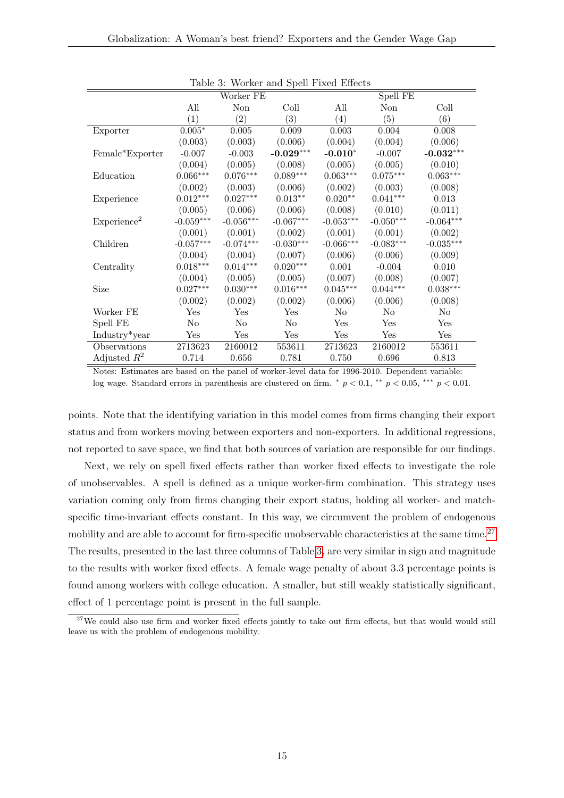|                            |             | Spell FE<br>Worker FE |                    |                  |                |             |  |
|----------------------------|-------------|-----------------------|--------------------|------------------|----------------|-------------|--|
|                            | All         | Non                   | Coll               | All              | Non            | Coll        |  |
|                            | (1)         | $\left( 2\right)$     | (3)                | $\left(4\right)$ | (5)            | (6)         |  |
| Exporter                   | $0.005*$    | 0.005                 | 0.009              | 0.003            | 0.004          | 0.008       |  |
|                            | (0.003)     | (0.003)               | (0.006)            | (0.004)          | (0.004)        | (0.006)     |  |
| Female*Exporter            | $-0.007$    | $-0.003$              | $-0.029***$        | $-0.010*$        | $-0.007$       | $-0.032***$ |  |
|                            | (0.004)     | (0.005)               | (0.008)            | (0.005)          | (0.005)        | (0.010)     |  |
| Education                  | $0.066***$  | $0.076***$            | $0.089***$         | $0.063***$       | $0.075***$     | $0.063***$  |  |
|                            | (0.002)     | (0.003)               | (0.006)            | (0.002)          | (0.003)        | (0.008)     |  |
| Experience                 | $0.012***$  | $0.027***$            | $0.013^{\ast\ast}$ | $0.020**$        | $0.041***$     | 0.013       |  |
|                            | (0.005)     | (0.006)               | (0.006)            | (0.008)          | (0.010)        | (0.011)     |  |
| Experience <sup>2</sup>    | $-0.059***$ | $-0.056***$           | $-0.067***$        | $-0.053***$      | $-0.050***$    | $-0.064***$ |  |
|                            | (0.001)     | (0.001)               | (0.002)            | (0.001)          | (0.001)        | (0.002)     |  |
| Children                   | $-0.057***$ | $-0.074***$           | $-0.030***$        | $-0.066***$      | $-0.083***$    | $-0.035***$ |  |
|                            | (0.004)     | (0.004)               | (0.007)            | (0.006)          | (0.006)        | (0.009)     |  |
| Centrality                 | $0.018***$  | $0.014***$            | $0.020***$         | 0.001            | $-0.004$       | 0.010       |  |
|                            | (0.004)     | (0.005)               | (0.005)            | (0.007)          | (0.008)        | (0.007)     |  |
| Size                       | $0.027***$  | $0.030***$            | $0.016***$         | $0.045***$       | $0.044***$     | $0.038***$  |  |
|                            | (0.002)     | (0.002)               | (0.002)            | (0.006)          | (0.006)        | (0.008)     |  |
| Worker FE                  | Yes         | Yes                   | Yes                | No               | N <sub>o</sub> | No          |  |
| Spell FE                   | No          | No                    | N <sub>o</sub>     | Yes              | Yes            | Yes         |  |
| Industry <sup>*</sup> year | Yes         | Yes                   | Yes                | Yes              | Yes            | Yes         |  |
| Observations               | 2713623     | 2160012               | 553611             | 2713623          | 2160012        | 553611      |  |
| Adjusted $R^2$             | 0.714       | 0.656                 | 0.781              | 0.750            | $0.696\,$      | 0.813       |  |

<span id="page-15-0"></span>Table 3: Worker and Spell Fixed Effects

Notes: Estimates are based on the panel of worker-level data for 1996-2010. Dependent variable: log wage. Standard errors in parenthesis are clustered on firm.  $p < 0.1$ ,  $\rightarrow p < 0.05$ ,  $\rightarrow p < 0.01$ .

points. Note that the identifying variation in this model comes from firms changing their export status and from workers moving between exporters and non-exporters. In additional regressions, not reported to save space, we find that both sources of variation are responsible for our findings.

Next, we rely on spell fixed effects rather than worker fixed effects to investigate the role of unobservables. A spell is defined as a unique worker-firm combination. This strategy uses variation coming only from firms changing their export status, holding all worker- and matchspecific time-invariant effects constant. In this way, we circumvent the problem of endogenous mobility and are able to account for firm-specific unobservable characteristics at the same time.<sup>[27](#page-15-1)</sup> The results, presented in the last three columns of Table [3,](#page-15-0) are very similar in sign and magnitude to the results with worker fixed effects. A female wage penalty of about 3.3 percentage points is found among workers with college education. A smaller, but still weakly statistically significant, effect of 1 percentage point is present in the full sample.

<span id="page-15-1"></span><sup>&</sup>lt;sup>27</sup>We could also use firm and worker fixed effects jointly to take out firm effects, but that would would still leave us with the problem of endogenous mobility.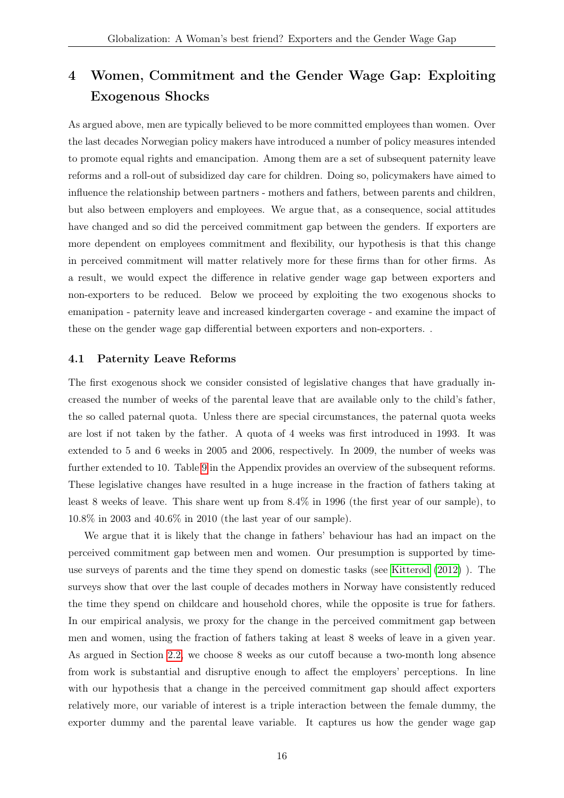## 4 Women, Commitment and the Gender Wage Gap: Exploiting Exogenous Shocks

As argued above, men are typically believed to be more committed employees than women. Over the last decades Norwegian policy makers have introduced a number of policy measures intended to promote equal rights and emancipation. Among them are a set of subsequent paternity leave reforms and a roll-out of subsidized day care for children. Doing so, policymakers have aimed to influence the relationship between partners - mothers and fathers, between parents and children, but also between employers and employees. We argue that, as a consequence, social attitudes have changed and so did the perceived commitment gap between the genders. If exporters are more dependent on employees commitment and flexibility, our hypothesis is that this change in perceived commitment will matter relatively more for these firms than for other firms. As a result, we would expect the difference in relative gender wage gap between exporters and non-exporters to be reduced. Below we proceed by exploiting the two exogenous shocks to emanipation - paternity leave and increased kindergarten coverage - and examine the impact of these on the gender wage gap differential between exporters and non-exporters. .

### 4.1 Paternity Leave Reforms

The first exogenous shock we consider consisted of legislative changes that have gradually increased the number of weeks of the parental leave that are available only to the child's father, the so called paternal quota. Unless there are special circumstances, the paternal quota weeks are lost if not taken by the father. A quota of 4 weeks was first introduced in 1993. It was extended to 5 and 6 weeks in 2005 and 2006, respectively. In 2009, the number of weeks was further extended to 10. Table [9](#page-26-1) in the Appendix provides an overview of the subsequent reforms. These legislative changes have resulted in a huge increase in the fraction of fathers taking at least 8 weeks of leave. This share went up from 8.4% in 1996 (the first year of our sample), to 10.8% in 2003 and 40.6% in 2010 (the last year of our sample).

We argue that it is likely that the change in fathers' behaviour has had an impact on the perceived commitment gap between men and women. Our presumption is supported by timeuse surveys of parents and the time they spend on domestic tasks (see [Kitterød](#page-24-9) [\(2012\)](#page-24-9) ). The surveys show that over the last couple of decades mothers in Norway have consistently reduced the time they spend on childcare and household chores, while the opposite is true for fathers. In our empirical analysis, we proxy for the change in the perceived commitment gap between men and women, using the fraction of fathers taking at least 8 weeks of leave in a given year. As argued in Section [2.2,](#page-7-4) we choose 8 weeks as our cutoff because a two-month long absence from work is substantial and disruptive enough to affect the employers' perceptions. In line with our hypothesis that a change in the perceived commitment gap should affect exporters relatively more, our variable of interest is a triple interaction between the female dummy, the exporter dummy and the parental leave variable. It captures us how the gender wage gap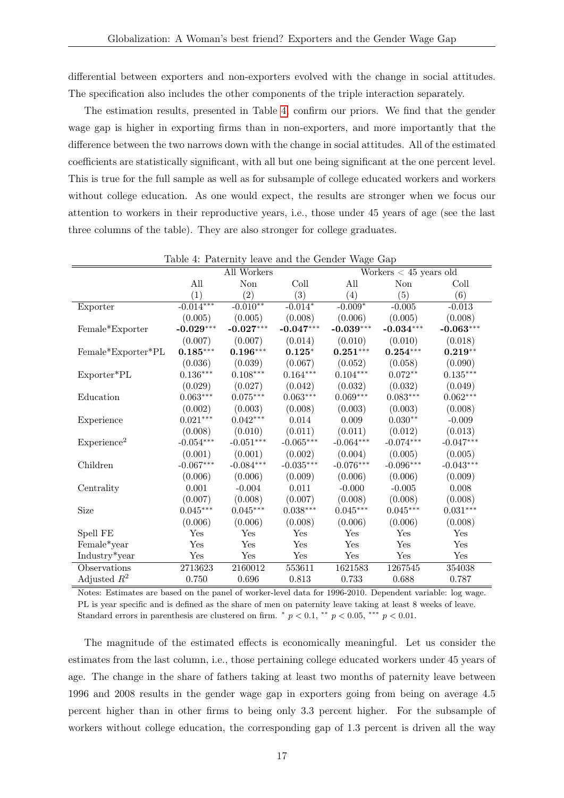differential between exporters and non-exporters evolved with the change in social attitudes. The specification also includes the other components of the triple interaction separately.

The estimation results, presented in Table [4,](#page-17-0) confirm our priors. We find that the gender wage gap is higher in exporting firms than in non-exporters, and more importantly that the difference between the two narrows down with the change in social attitudes. All of the estimated coefficients are statistically significant, with all but one being significant at the one percent level. This is true for the full sample as well as for subsample of college educated workers and workers without college education. As one would expect, the results are stronger when we focus our attention to workers in their reproductive years, i.e., those under 45 years of age (see the last three columns of the table). They are also stronger for college graduates.

|                         |              | All Workers |                             |             | Workers $< 45$ years old |                      |
|-------------------------|--------------|-------------|-----------------------------|-------------|--------------------------|----------------------|
|                         | All          | Non         | Coll                        | All         | Non                      | Coll                 |
|                         | (1)          | (2)         | (3)                         | (4)         | (5)                      | (6)                  |
| Exporter                | $-0.014***$  | $-0.010**$  | $-0.014*$                   | $-0.009*$   | $-0.005$                 | $-0.013$             |
|                         | (0.005)      | (0.005)     | (0.008)                     | (0.006)     | (0.005)                  | (0.008)              |
| Female*Exporter         | $-0.029***$  | $-0.027***$ | $-0.047***$                 | $-0.039***$ | $-0.034***$              | $-0.063***$          |
|                         | (0.007)      | (0.007)     | (0.014)                     | (0.010)     | (0.010)                  | (0.018)              |
| Female*Exporter*PL      | $0.185***$   | $0.196***$  | $0.125*$                    | $0.251***$  | $0.254***$               | $0.219**$            |
|                         | (0.036)      | (0.039)     | (0.067)                     | (0.052)     | (0.058)                  | (0.090)              |
| Exporter*PL             | $0.136***$   | $0.108***$  | $0.164***$                  | $0.104***$  | $0.072^{\ast\ast}$       | $0.135^{***}\,$      |
|                         | (0.029)      | (0.027)     | (0.042)                     | (0.032)     | (0.032)                  | (0.049)              |
| Education               | $0.063***$   | $0.075***$  | $0.063***$                  | $0.069***$  | $0.083***$               | $0.062***$           |
|                         | (0.002)      | (0.003)     | (0.008)                     | (0.003)     | (0.003)                  | (0.008)              |
| Experience              | $0.021***$   | $0.042***$  | 0.014                       | $0.009\,$   | $0.030**$                | $-0.009$             |
|                         | (0.008)      | (0.010)     | (0.011)                     | (0.011)     | (0.012)                  | (0.013)              |
| Experience <sup>2</sup> | $-0.054***$  | $-0.051***$ | $-0.065***$                 | $-0.064***$ | $-0.074***$              | $-0.047***$          |
|                         | (0.001)      | (0.001)     | (0.002)                     | (0.004)     | (0.005)                  | (0.005)              |
| Children                | $-0.067***$  | $-0.084***$ | $\textnormal{-}0.035^{***}$ | $-0.076***$ | $-0.096***$              | $-0.043***$          |
|                         | (0.006)      | (0.006)     | (0.009)                     | (0.006)     | (0.006)                  | (0.009)              |
| Centrality              | $0.001\,$    | $-0.004$    | 0.011                       | $-0.000$    | $-0.005$                 | 0.008                |
|                         | (0.007)      | (0.008)     | (0.007)                     | (0.008)     | (0.008)                  | (0.008)              |
| Size                    | $0.045***$   | $0.045***$  | $0.038^{\ast\ast\ast}$      | $0.045***$  | $0.045^{***}\,$          | $0.031***$           |
|                         | (0.006)      | (0.006)     | (0.008)                     | (0.006)     | (0.006)                  | (0.008)              |
| Spell FE                | Yes          | Yes         | Yes                         | Yes         | Yes                      | $\operatorname{Yes}$ |
| Female*year             | $_{\rm Yes}$ | Yes         | Yes                         | Yes         | Yes                      | Yes                  |
| Industry*year           | Yes          | Yes         | Yes                         | Yes         | Yes                      | Yes                  |
| Observations            | 2713623      | 2160012     | 553611                      | 1621583     | 1267545                  | 354038               |
| Adjusted $R^2$          | 0.750        | 0.696       | 0.813                       | 0.733       | 0.688                    | $0.787\,$            |

<span id="page-17-0"></span>Table 4: Paternity leave and the Gender Wage Gap

Notes: Estimates are based on the panel of worker-level data for 1996-2010. Dependent variable: log wage. PL is year specific and is defined as the share of men on paternity leave taking at least 8 weeks of leave. Standard errors in parenthesis are clustered on firm.  $\degree p < 0.1$ ,  $\degree\degree p < 0.05$ ,  $\degree\degree\degree p < 0.01$ .

The magnitude of the estimated effects is economically meaningful. Let us consider the estimates from the last column, i.e., those pertaining college educated workers under 45 years of age. The change in the share of fathers taking at least two months of paternity leave between 1996 and 2008 results in the gender wage gap in exporters going from being on average 4.5 percent higher than in other firms to being only 3.3 percent higher. For the subsample of workers without college education, the corresponding gap of 1.3 percent is driven all the way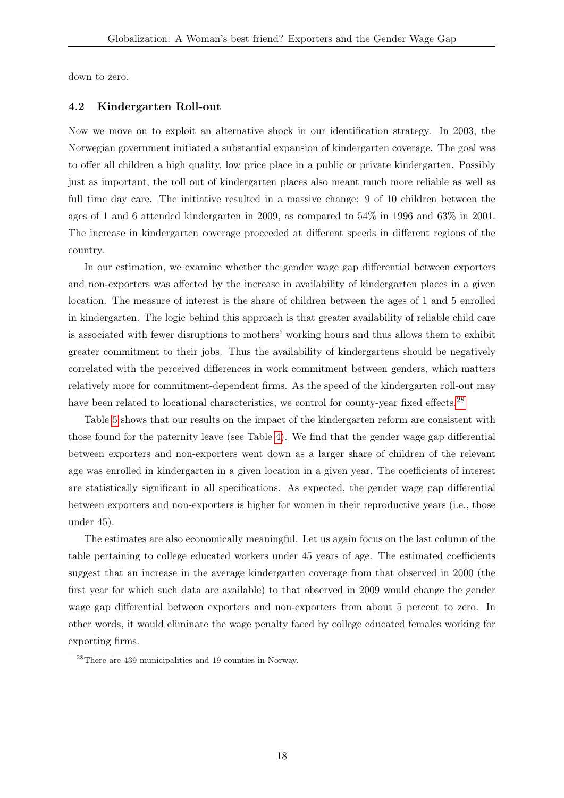down to zero.

### 4.2 Kindergarten Roll-out

Now we move on to exploit an alternative shock in our identification strategy. In 2003, the Norwegian government initiated a substantial expansion of kindergarten coverage. The goal was to offer all children a high quality, low price place in a public or private kindergarten. Possibly just as important, the roll out of kindergarten places also meant much more reliable as well as full time day care. The initiative resulted in a massive change: 9 of 10 children between the ages of 1 and 6 attended kindergarten in 2009, as compared to 54% in 1996 and 63% in 2001. The increase in kindergarten coverage proceeded at different speeds in different regions of the country.

In our estimation, we examine whether the gender wage gap differential between exporters and non-exporters was affected by the increase in availability of kindergarten places in a given location. The measure of interest is the share of children between the ages of 1 and 5 enrolled in kindergarten. The logic behind this approach is that greater availability of reliable child care is associated with fewer disruptions to mothers' working hours and thus allows them to exhibit greater commitment to their jobs. Thus the availability of kindergartens should be negatively correlated with the perceived differences in work commitment between genders, which matters relatively more for commitment-dependent firms. As the speed of the kindergarten roll-out may have been related to locational characteristics, we control for county-year fixed effects.<sup>[28](#page-18-0)</sup>

Table [5](#page-19-0) shows that our results on the impact of the kindergarten reform are consistent with those found for the paternity leave (see Table [4\)](#page-17-0). We find that the gender wage gap differential between exporters and non-exporters went down as a larger share of children of the relevant age was enrolled in kindergarten in a given location in a given year. The coefficients of interest are statistically significant in all specifications. As expected, the gender wage gap differential between exporters and non-exporters is higher for women in their reproductive years (i.e., those under 45).

The estimates are also economically meaningful. Let us again focus on the last column of the table pertaining to college educated workers under 45 years of age. The estimated coefficients suggest that an increase in the average kindergarten coverage from that observed in 2000 (the first year for which such data are available) to that observed in 2009 would change the gender wage gap differential between exporters and non-exporters from about 5 percent to zero. In other words, it would eliminate the wage penalty faced by college educated females working for exporting firms.

<span id="page-18-0"></span><sup>28</sup>There are 439 municipalities and 19 counties in Norway.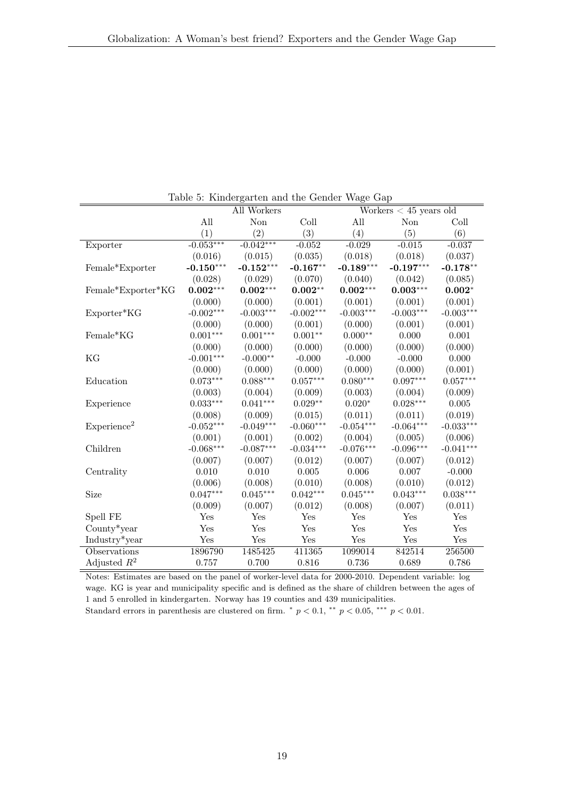|                         | Table 5: Kindergarten and the Gender Wage Gap |                    |             |             |                          |             |  |  |  |
|-------------------------|-----------------------------------------------|--------------------|-------------|-------------|--------------------------|-------------|--|--|--|
|                         |                                               | <b>All Workers</b> |             |             | Workers $< 45$ years old |             |  |  |  |
|                         | All                                           | Non                | Coll        | All         | Non                      | Coll        |  |  |  |
|                         | (1)                                           | $\left( 2\right)$  | (3)         | (4)         | (5)                      | (6)         |  |  |  |
| Exporter                | $-0.053***$                                   | $-0.042***$        | $-0.052$    | $-0.029$    | $-0.015$                 | $-0.037$    |  |  |  |
|                         | (0.016)                                       | (0.015)            | (0.035)     | (0.018)     | (0.018)                  | (0.037)     |  |  |  |
| Female*Exporter         | $-0.150***$                                   | $-0.152***$        | $-0.167**$  | $-0.189***$ | $-0.197***$              | $-0.178**$  |  |  |  |
|                         | (0.028)                                       | (0.029)            | (0.070)     | (0.040)     | (0.042)                  | (0.085)     |  |  |  |
| Female*Exporter*KG      | $0.002***$                                    | $0.002***$         | $0.002**$   | $0.002***$  | $0.003***$               | $0.002*$    |  |  |  |
|                         | (0.000)                                       | (0.000)            | (0.001)     | (0.001)     | (0.001)                  | (0.001)     |  |  |  |
| Exporter*KG             | $-0.002***$                                   | $-0.003***$        | $-0.002***$ | $-0.003***$ | $-0.003***$              | $-0.003***$ |  |  |  |
|                         | (0.000)                                       | (0.000)            | (0.001)     | (0.000)     | (0.001)                  | (0.001)     |  |  |  |
| Female*KG               | $0.001***$                                    | $0.001^{***}\,$    | $0.001**$   | $0.000**$   | 0.000                    | 0.001       |  |  |  |
|                         | (0.000)                                       | (0.000)            | (0.000)     | (0.000)     | (0.000)                  | (0.000)     |  |  |  |
| KG                      | $-0.001***$                                   | $-0.000**$         | $-0.000$    | $-0.000$    | $-0.000$                 | 0.000       |  |  |  |
|                         | (0.000)                                       | (0.000)            | (0.000)     | (0.000)     | (0.000)                  | (0.001)     |  |  |  |
| Education               | $0.073***$                                    | $0.088***$         | $0.057***$  | $0.080***$  | $0.097***$               | $0.057***$  |  |  |  |
|                         | (0.003)                                       | (0.004)            | (0.009)     | (0.003)     | (0.004)                  | (0.009)     |  |  |  |
| Experience              | $0.033***$                                    | $0.041***$         | $0.029**$   | $0.020*$    | $0.028***$               | 0.005       |  |  |  |
|                         | (0.008)                                       | (0.009)            | (0.015)     | (0.011)     | (0.011)                  | (0.019)     |  |  |  |
| Experience <sup>2</sup> | $-0.052***$                                   | $-0.049***$        | $-0.060***$ | $-0.054***$ | $-0.064***$              | $-0.033***$ |  |  |  |
|                         | (0.001)                                       | (0.001)            | (0.002)     | (0.004)     | (0.005)                  | (0.006)     |  |  |  |
| Children                | $-0.068***$                                   | $-0.087***$        | $-0.034***$ | $-0.076***$ | $-0.096***$              | $-0.041***$ |  |  |  |
|                         | (0.007)                                       | (0.007)            | (0.012)     | (0.007)     | (0.007)                  | (0.012)     |  |  |  |
| Centrality              | 0.010                                         | 0.010              | 0.005       | 0.006       | $0.007\,$                | $-0.000$    |  |  |  |
|                         | (0.006)                                       | (0.008)            | (0.010)     | (0.008)     | (0.010)                  | (0.012)     |  |  |  |
| Size                    | $0.047***$                                    | $0.045***$         | $0.042***$  | $0.045***$  | $0.043***$               | $0.038***$  |  |  |  |
|                         | (0.009)                                       | (0.007)            | (0.012)     | (0.008)     | (0.007)                  | (0.011)     |  |  |  |
| Spell FE                | Yes                                           | Yes                | Yes         | Yes         | Yes                      | Yes         |  |  |  |
| $County*year$           | Yes                                           | Yes                | Yes         | Yes         | Yes                      | Yes         |  |  |  |
| Industry*year           | Yes                                           | Yes                | Yes         | Yes         | Yes                      | Yes         |  |  |  |
| Observations            | 1896790                                       | 1485425            | 411365      | 1099014     | 842514                   | 256500      |  |  |  |
| Adjusted $R^2$          | 0.757                                         | 0.700              | 0.816       | 0.736       | 0.689                    | 0.786       |  |  |  |

<span id="page-19-0"></span>Table 5: Kindergarten and the Gender Wage Gap

Notes: Estimates are based on the panel of worker-level data for 2000-2010. Dependent variable: log wage. KG is year and municipality specific and is defined as the share of children between the ages of 1 and 5 enrolled in kindergarten. Norway has 19 counties and 439 municipalities.

Standard errors in parenthesis are clustered on firm.  $p < 0.1$ ,  $\alpha p < 0.05$ ,  $\alpha p p < 0.01$ .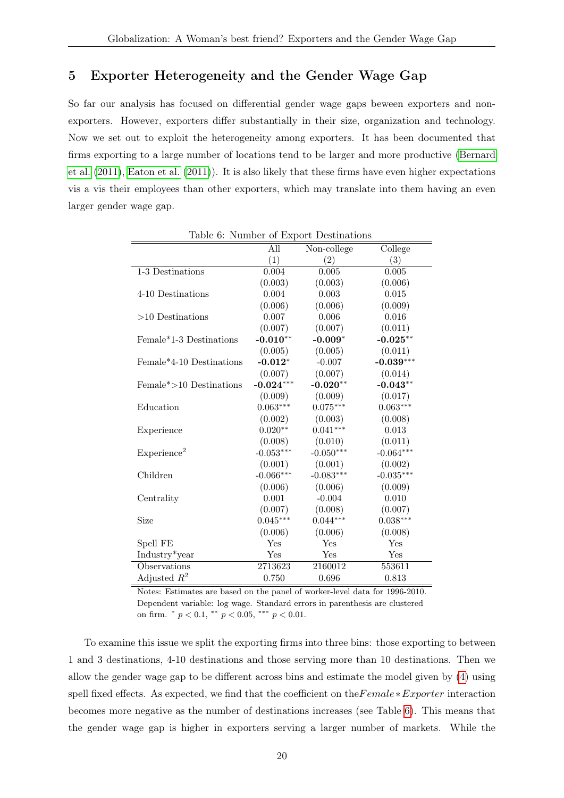## 5 Exporter Heterogeneity and the Gender Wage Gap

So far our analysis has focused on differential gender wage gaps beween exporters and nonexporters. However, exporters differ substantially in their size, organization and technology. Now we set out to exploit the heterogeneity among exporters. It has been documented that firms exporting to a large number of locations tend to be larger and more productive [\(Bernard](#page-23-6) [et al.](#page-23-6) [\(2011\)](#page-23-6), [Eaton et al.](#page-23-7) [\(2011\)](#page-23-7)). It is also likely that these firms have even higher expectations vis a vis their employees than other exporters, which may translate into them having an even larger gender wage gap.

|                                      |             | relation of Enport Bestinations |             |
|--------------------------------------|-------------|---------------------------------|-------------|
|                                      | All         | Non-college                     | College     |
|                                      | (1)         | (2)                             | (3)         |
| 1-3 Destinations                     | 0.004       | 0.005                           | 0.005       |
|                                      | (0.003)     | (0.003)                         | (0.006)     |
| 4-10 Destinations                    | 0.004       | 0.003                           | 0.015       |
|                                      | (0.006)     | (0.006)                         | (0.009)     |
| $>10$ Destinations                   | 0.007       | 0.006                           | 0.016       |
|                                      | (0.007)     | (0.007)                         | (0.011)     |
| Female <sup>*</sup> 1-3 Destinations | $-0.010**$  | $-0.009*$                       | $-0.025**$  |
|                                      | (0.005)     | (0.005)                         | (0.011)     |
| Female*4-10 Destinations             | $-0.012*$   | $-0.007$                        | $-0.039***$ |
|                                      | (0.007)     | (0.007)                         | (0.014)     |
| $Female* > 10$ Destinations          | $-0.024***$ | $-0.020**$                      | $-0.043**$  |
|                                      | (0.009)     | (0.009)                         | (0.017)     |
| Education                            | $0.063***$  | $0.075***$                      | $0.063***$  |
|                                      | (0.002)     | (0.003)                         | (0.008)     |
| Experience                           | $0.020**$   | $0.041***$                      | 0.013       |
|                                      | (0.008)     | (0.010)                         | (0.011)     |
| Experience <sup>2</sup>              | $-0.053***$ | $-0.050***$                     | $-0.064***$ |
|                                      | (0.001)     | (0.001)                         | (0.002)     |
| Children                             | $-0.066***$ | $-0.083***$                     | $-0.035***$ |
|                                      | (0.006)     | (0.006)                         | (0.009)     |
| Centrality                           | 0.001       | $-0.004$                        | 0.010       |
|                                      | (0.007)     | (0.008)                         | (0.007)     |
| Size                                 | $0.045***$  | $0.044***$                      | $0.038***$  |
|                                      | (0.006)     | (0.006)                         | (0.008)     |
| Spell FE                             | Yes         | Yes                             | Yes         |
| Industry*year                        | Yes         | Yes                             | Yes         |
| Observations                         | 2713623     | 2160012                         | 553611      |
| Adjusted $R^2$                       | 0.750       | 0.696                           | 0.813       |
|                                      |             |                                 |             |

<span id="page-20-0"></span>Table 6: Number of Export Destinations

Notes: Estimates are based on the panel of worker-level data for 1996-2010. Dependent variable: log wage. Standard errors in parenthesis are clustered on firm.  $\degree p < 0.1, \degree \degree p < 0.05, \degree \degree \degree p < 0.01.$ 

To examine this issue we split the exporting firms into three bins: those exporting to between 1 and 3 destinations, 4-10 destinations and those serving more than 10 destinations. Then we allow the gender wage gap to be different across bins and estimate the model given by [\(4\)](#page-14-2) using spell fixed effects. As expected, we find that the coefficient on the Female∗Exporter interaction becomes more negative as the number of destinations increases (see Table [6\)](#page-20-0). This means that the gender wage gap is higher in exporters serving a larger number of markets. While the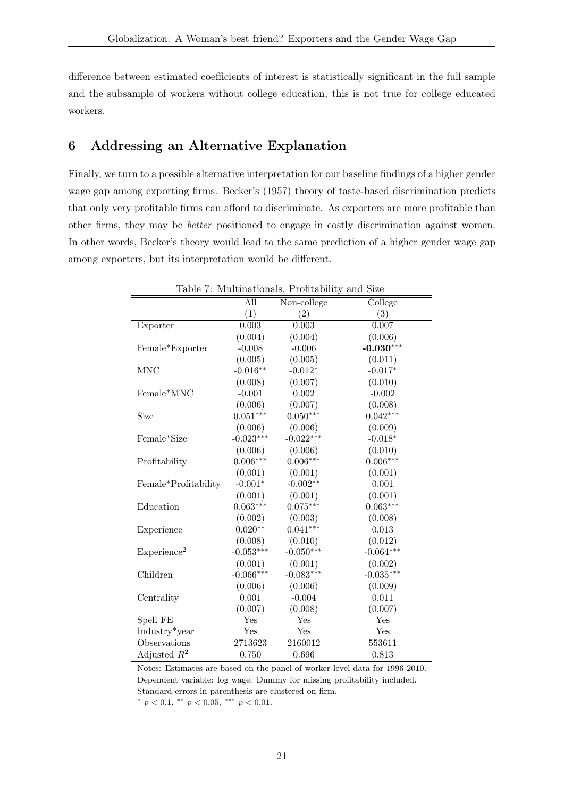difference between estimated coefficients of interest is statistically significant in the full sample and the subsample of workers without college education, this is not true for college educated workers.

## 6 Addressing an Alternative Explanation

Finally, we turn to a possible alternative interpretation for our baseline findings of a higher gender wage gap among exporting firms. Becker's (1957) theory of taste-based discrimination predicts that only very profitable firms can afford to discriminate. As exporters are more profitable than other firms, they may be better positioned to engage in costly discrimination against women. In other words, Becker's theory would lead to the same prediction of a higher gender wage gap among exporters, but its interpretation would be different.

<span id="page-21-0"></span>

|                         |             | Table 7: Multinationals, Profitability and Size |             |
|-------------------------|-------------|-------------------------------------------------|-------------|
|                         | All         | Non-college                                     | College     |
|                         | (1)         | (2)                                             | (3)         |
| Exporter                | 0.003       | 0.003                                           | 0.007       |
|                         | (0.004)     | (0.004)                                         | (0.006)     |
| Female*Exporter         | $-0.008$    | $-0.006$                                        | $-0.030***$ |
|                         | (0.005)     | (0.005)                                         | (0.011)     |
| <b>MNC</b>              | $-0.016**$  | $-0.012*$                                       | $-0.017*$   |
|                         | (0.008)     | (0.007)                                         | (0.010)     |
| Female*MNC              | $-0.001$    | 0.002                                           | $-0.002$    |
|                         | (0.006)     | (0.007)                                         | (0.008)     |
| Size                    | $0.051***$  | $0.050***$                                      | $0.042***$  |
|                         | (0.006)     | (0.006)                                         | (0.009)     |
| Female*Size             | $-0.023***$ | $-0.022***$                                     | $-0.018*$   |
|                         | (0.006)     | (0.006)                                         | (0.010)     |
| Profitability           | $0.006***$  | $0.006***$                                      | $0.006***$  |
|                         | (0.001)     | (0.001)                                         | (0.001)     |
| Female*Profitability    | $-0.001*$   | $-0.002**$                                      | 0.001       |
|                         | (0.001)     | (0.001)                                         | (0.001)     |
| Education               | $0.063***$  | $0.075***$                                      | $0.063***$  |
|                         | (0.002)     | (0.003)                                         | (0.008)     |
| Experience              | $0.020**$   | $0.041***$                                      | 0.013       |
|                         | (0.008)     | (0.010)                                         | (0.012)     |
| Experience <sup>2</sup> | $-0.053***$ | $-0.050***$                                     | $-0.064***$ |
|                         | (0.001)     | (0.001)                                         | (0.002)     |
| Children                | $-0.066***$ | $-0.083***$                                     | $-0.035***$ |
|                         | (0.006)     | (0.006)                                         | (0.009)     |
| Centrality              | 0.001       | $-0.004$                                        | 0.011       |
|                         | (0.007)     | (0.008)                                         | (0.007)     |
| Spell FE                | Yes         | Yes                                             | Yes         |
| Industry*year           | Yes         | Yes                                             | Yes         |
| Observations            | 2713623     | 2160012                                         | 553611      |
| Adjusted $R^2$          | 0.750       | 0.696                                           | 0.813       |

Notes: Estimates are based on the panel of worker-level data for 1996-2010. Dependent variable: log wage. Dummy for missing profitability included. Standard errors in parenthesis are clustered on firm.

\*  $p < 0.1$ , \*\*  $p < 0.05$ , \*\*\*  $p < 0.01$ .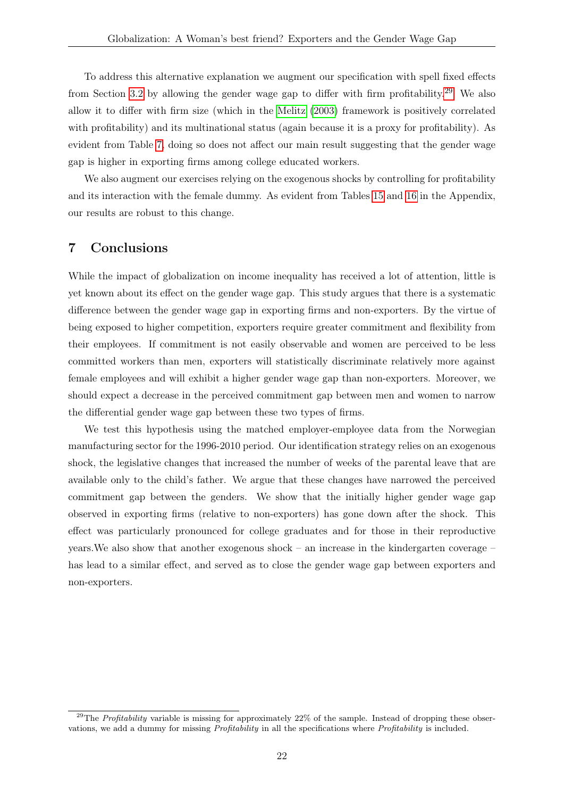To address this alternative explanation we augment our specification with spell fixed effects from Section [3.2](#page-14-3) by allowing the gender wage gap to differ with firm profitability.[29](#page-22-0) We also allow it to differ with firm size (which in the [Melitz](#page-24-0) [\(2003\)](#page-24-0) framework is positively correlated with profitability) and its multinational status (again because it is a proxy for profitability). As evident from Table [7,](#page-21-0) doing so does not affect our main result suggesting that the gender wage gap is higher in exporting firms among college educated workers.

We also augment our exercises relying on the exogenous shocks by controlling for profitability and its interaction with the female dummy. As evident from Tables [15](#page-32-0) and [16](#page-33-0) in the Appendix, our results are robust to this change.

## 7 Conclusions

While the impact of globalization on income inequality has received a lot of attention, little is yet known about its effect on the gender wage gap. This study argues that there is a systematic difference between the gender wage gap in exporting firms and non-exporters. By the virtue of being exposed to higher competition, exporters require greater commitment and flexibility from their employees. If commitment is not easily observable and women are perceived to be less committed workers than men, exporters will statistically discriminate relatively more against female employees and will exhibit a higher gender wage gap than non-exporters. Moreover, we should expect a decrease in the perceived commitment gap between men and women to narrow the differential gender wage gap between these two types of firms.

We test this hypothesis using the matched employer-employee data from the Norwegian manufacturing sector for the 1996-2010 period. Our identification strategy relies on an exogenous shock, the legislative changes that increased the number of weeks of the parental leave that are available only to the child's father. We argue that these changes have narrowed the perceived commitment gap between the genders. We show that the initially higher gender wage gap observed in exporting firms (relative to non-exporters) has gone down after the shock. This effect was particularly pronounced for college graduates and for those in their reproductive years.We also show that another exogenous shock – an increase in the kindergarten coverage – has lead to a similar effect, and served as to close the gender wage gap between exporters and non-exporters.

<span id="page-22-0"></span><sup>&</sup>lt;sup>29</sup>The *Profitability* variable is missing for approximately  $22\%$  of the sample. Instead of dropping these observations, we add a dummy for missing Profitability in all the specifications where Profitability is included.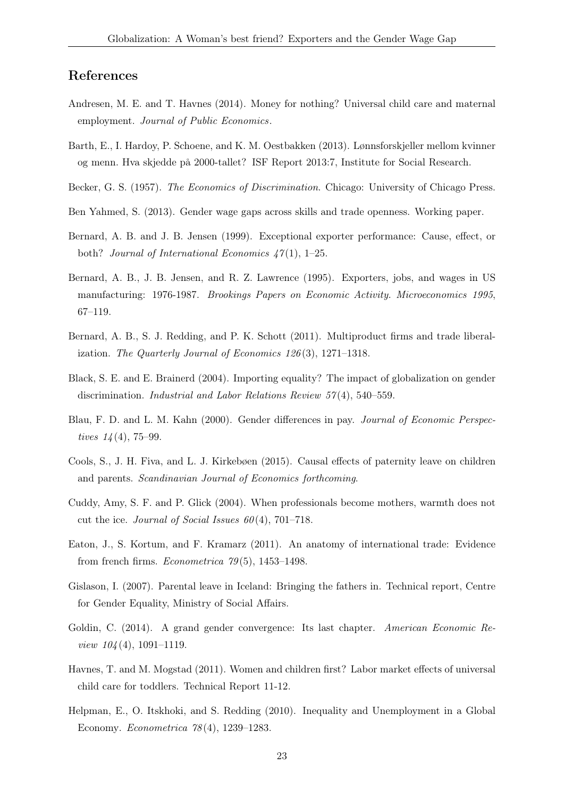### References

- <span id="page-23-14"></span>Andresen, M. E. and T. Havnes (2014). Money for nothing? Universal child care and maternal employment. Journal of Public Economics.
- <span id="page-23-1"></span>Barth, E., I. Hardoy, P. Schoene, and K. M. Oestbakken (2013). Lønnsforskjeller mellom kvinner og menn. Hva skjedde på 2000-tallet? ISF Report 2013:7, Institute for Social Research.
- <span id="page-23-5"></span>Becker, G. S. (1957). The Economics of Discrimination. Chicago: University of Chicago Press.
- <span id="page-23-12"></span>Ben Yahmed, S. (2013). Gender wage gaps across skills and trade openness. Working paper.
- <span id="page-23-8"></span>Bernard, A. B. and J. B. Jensen (1999). Exceptional exporter performance: Cause, effect, or both? Journal of International Economics  $47(1)$ , 1–25.
- <span id="page-23-9"></span>Bernard, A. B., J. B. Jensen, and R. Z. Lawrence (1995). Exporters, jobs, and wages in US manufacturing: 1976-1987. Brookings Papers on Economic Activity. Microeconomics 1995, 67–119.
- <span id="page-23-6"></span>Bernard, A. B., S. J. Redding, and P. K. Schott (2011). Multiproduct firms and trade liberalization. The Quarterly Journal of Economics 126 (3), 1271–1318.
- <span id="page-23-11"></span>Black, S. E. and E. Brainerd (2004). Importing equality? The impact of globalization on gender discrimination. Industrial and Labor Relations Review 57 (4), 540–559.
- <span id="page-23-0"></span>Blau, F. D. and L. M. Kahn (2000). Gender differences in pay. Journal of Economic Perspectives  $14(4)$ , 75–99.
- <span id="page-23-13"></span>Cools, S., J. H. Fiva, and L. J. Kirkebøen (2015). Causal effects of paternity leave on children and parents. Scandinavian Journal of Economics forthcoming.
- <span id="page-23-4"></span>Cuddy, Amy, S. F. and P. Glick (2004). When professionals become mothers, warmth does not cut the ice. Journal of Social Issues  $60(4)$ , 701–718.
- <span id="page-23-7"></span>Eaton, J., S. Kortum, and F. Kramarz (2011). An anatomy of international trade: Evidence from french firms. *Econometrica*  $79(5)$ , 1453–1498.
- <span id="page-23-3"></span>Gislason, I. (2007). Parental leave in Iceland: Bringing the fathers in. Technical report, Centre for Gender Equality, Ministry of Social Affairs.
- <span id="page-23-2"></span>Goldin, C. (2014). A grand gender convergence: Its last chapter. American Economic Re*view*  $104(4)$ *,* 1091–1119.
- <span id="page-23-15"></span>Havnes, T. and M. Mogstad (2011). Women and children first? Labor market effects of universal child care for toddlers. Technical Report 11-12.
- <span id="page-23-10"></span>Helpman, E., O. Itskhoki, and S. Redding (2010). Inequality and Unemployment in a Global Economy. Econometrica 78 (4), 1239–1283.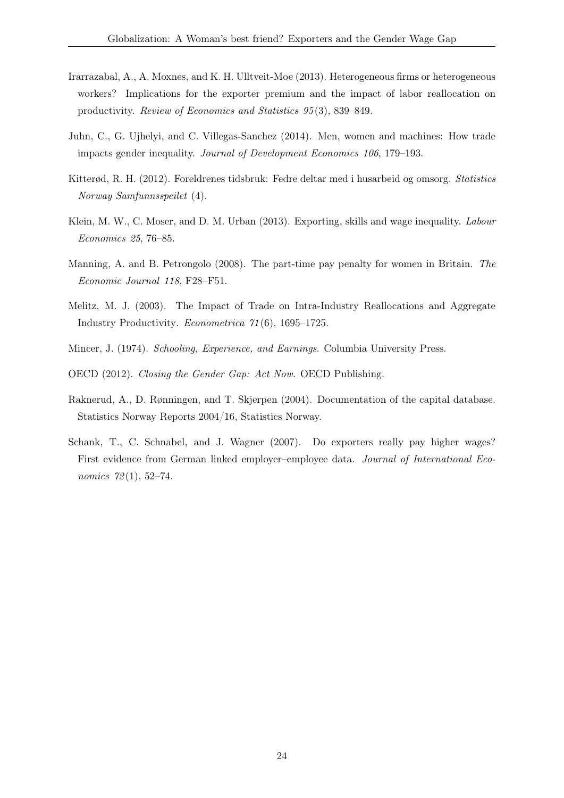- <span id="page-24-3"></span>Irarrazabal, A., A. Moxnes, and K. H. Ulltveit-Moe (2013). Heterogeneous firms or heterogeneous workers? Implications for the exporter premium and the impact of labor reallocation on productivity. Review of Economics and Statistics 95 (3), 839–849.
- <span id="page-24-5"></span>Juhn, C., G. Ujhelyi, and C. Villegas-Sanchez (2014). Men, women and machines: How trade impacts gender inequality. Journal of Development Economics 106, 179–193.
- <span id="page-24-9"></span>Kitterød, R. H. (2012). Foreldrenes tidsbruk: Fedre deltar med i husarbeid og omsorg. Statistics Norway Samfunnsspeilet (4).
- <span id="page-24-2"></span>Klein, M. W., C. Moser, and D. M. Urban (2013). Exporting, skills and wage inequality. Labour Economics 25, 76–85.
- <span id="page-24-7"></span>Manning, A. and B. Petrongolo (2008). The part-time pay penalty for women in Britain. The Economic Journal 118, F28–F51.
- <span id="page-24-0"></span>Melitz, M. J. (2003). The Impact of Trade on Intra-Industry Reallocations and Aggregate Industry Productivity. Econometrica 71 (6), 1695–1725.
- <span id="page-24-8"></span>Mincer, J. (1974). Schooling, Experience, and Earnings. Columbia University Press.
- <span id="page-24-4"></span>OECD (2012). Closing the Gender Gap: Act Now. OECD Publishing.
- <span id="page-24-6"></span>Raknerud, A., D. Rønningen, and T. Skjerpen (2004). Documentation of the capital database. Statistics Norway Reports 2004/16, Statistics Norway.
- <span id="page-24-1"></span>Schank, T., C. Schnabel, and J. Wagner (2007). Do exporters really pay higher wages? First evidence from German linked employer–employee data. Journal of International Economics 72(1), 52-74.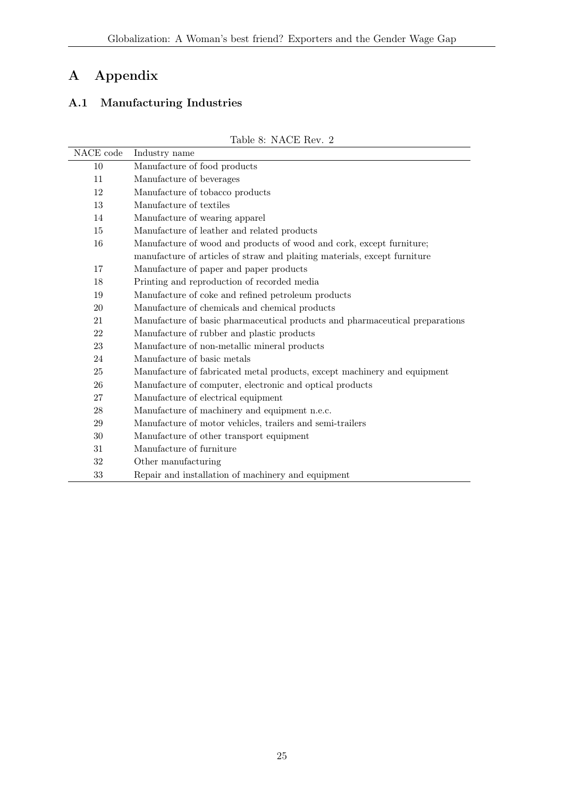## A Appendix

## A.1 Manufacturing Industries

Table 8: NACE Rev. 2

| NACE code | Industry name                                                                |
|-----------|------------------------------------------------------------------------------|
| 10        | Manufacture of food products                                                 |
| 11        | Manufacture of beverages                                                     |
| 12        | Manufacture of tobacco products                                              |
| 13        | Manufacture of textiles                                                      |
| 14        | Manufacture of wearing apparel                                               |
| 15        | Manufacture of leather and related products                                  |
| 16        | Manufacture of wood and products of wood and cork, except furniture;         |
|           | manufacture of articles of straw and plaiting materials, except furniture    |
| 17        | Manufacture of paper and paper products                                      |
| 18        | Printing and reproduction of recorded media                                  |
| 19        | Manufacture of coke and refined petroleum products                           |
| 20        | Manufacture of chemicals and chemical products                               |
| 21        | Manufacture of basic pharmaceutical products and pharmaceutical preparations |
| 22        | Manufacture of rubber and plastic products                                   |
| 23        | Manufacture of non-metallic mineral products                                 |
| 24        | Manufacture of basic metals                                                  |
| 25        | Manufacture of fabricated metal products, except machinery and equipment     |
| 26        | Manufacture of computer, electronic and optical products                     |
| 27        | Manufacture of electrical equipment                                          |
| 28        | Manufacture of machinery and equipment n.e.c.                                |
| 29        | Manufacture of motor vehicles, trailers and semi-trailers                    |
| 30        | Manufacture of other transport equipment                                     |
| 31        | Manufacture of furniture                                                     |
| $32\,$    | Other manufacturing                                                          |
| 33        | Repair and installation of machinery and equipment                           |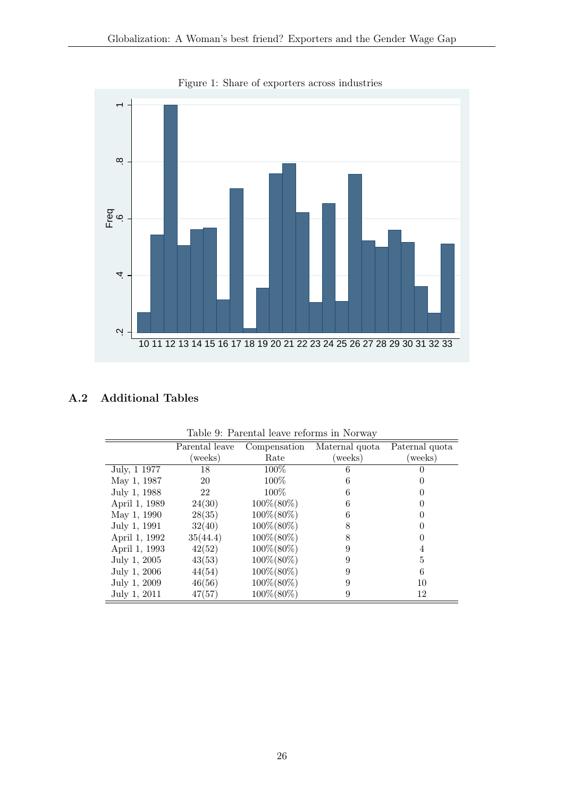

<span id="page-26-0"></span>Figure 1: Share of exporters across industries

## A.2 Additional Tables

|               | Table 9. I architar icave reforms in typi way |                |                |                |  |  |  |
|---------------|-----------------------------------------------|----------------|----------------|----------------|--|--|--|
|               | Parental leave                                | Compensation   | Maternal quota | Paternal quota |  |  |  |
|               | weeks)                                        | Rate           | (weeks)        | weeks)         |  |  |  |
| July, 1 1977  | 18                                            | $100\%$        | 6              |                |  |  |  |
| May 1, 1987   | 20                                            | 100%           | 6              |                |  |  |  |
| July 1, 1988  | 22                                            | $100\%$        | 6              |                |  |  |  |
| April 1, 1989 | 24(30)                                        | $100\% (80\%)$ | 6              |                |  |  |  |
| May 1, 1990   | 28(35)                                        | $100\% (80\%)$ | 6              |                |  |  |  |
| July 1, 1991  | 32(40)                                        | $100\%(80\%)$  | 8              |                |  |  |  |
| April 1, 1992 | 35(44.4)                                      | $100\%(80\%)$  | 8              |                |  |  |  |
| April 1, 1993 | 42(52)                                        | $100\% (80\%)$ | 9              | 4              |  |  |  |
| July 1, 2005  | 43(53)                                        | $100\% (80\%)$ | 9              | 5              |  |  |  |
| July 1, 2006  | 44(54)                                        | $100\% (80\%)$ | 9              | 6              |  |  |  |
| July 1, 2009  | 46(56)                                        | $100\% (80\%)$ | 9              | 10             |  |  |  |
| July 1, 2011  | 47(57)                                        | 100\%(80\%)    | 9              | 12             |  |  |  |

<span id="page-26-1"></span>Table 9: Parental leave reforms in Norway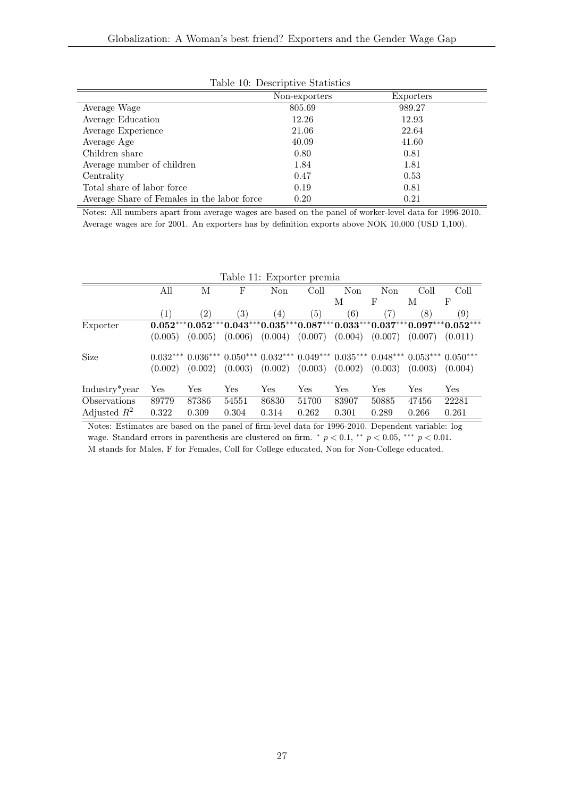|                                             | Non-exporters | Exporters |  |
|---------------------------------------------|---------------|-----------|--|
| Average Wage                                | 805.69        | 989.27    |  |
| Average Education                           | 12.26         | 12.93     |  |
| Average Experience                          | 21.06         | 22.64     |  |
| Average Age                                 | 40.09         | 41.60     |  |
| Children share                              | 0.80          | 0.81      |  |
| Average number of children                  | 1.84          | 1.81      |  |
| Centrality                                  | 0.47          | 0.53      |  |
| Total share of labor force                  | 0.19          | 0.81      |  |
| Average Share of Females in the labor force | 0.20          | 0.21      |  |

<span id="page-27-0"></span>

|  | Table 10: Descriptive Statistics |  |
|--|----------------------------------|--|
|--|----------------------------------|--|

Notes: All numbers apart from average wages are based on the panel of worker-level data for 1996-2010. Average wages are for 2001. An exporters has by definition exports above NOK 10,000 (USD 1,100).

<span id="page-27-1"></span>

|                            | Table 11: Exporter premia |                                                                            |                      |         |                     |         |         |         |                                                                            |
|----------------------------|---------------------------|----------------------------------------------------------------------------|----------------------|---------|---------------------|---------|---------|---------|----------------------------------------------------------------------------|
|                            | All                       | М                                                                          | F                    | Non     | Coll                | Non     | Non     | Coll    | Coll                                                                       |
|                            |                           |                                                                            |                      |         |                     | М       | F       | М       | F                                                                          |
|                            | (1)                       | (2)                                                                        | (3)                  | (4)     | (5)                 | (6)     | (7)     | 8)      | (9)                                                                        |
| Exporter                   |                           |                                                                            |                      |         |                     |         |         |         | $0.052***0.052***0.043***0.035***0.087***0.033***0.037***0.097***0.052***$ |
|                            | (0.005)                   | (0.005)                                                                    | (0.006)              | (0.004) | (0.007)             | (0.004) | (0.007) | (0.007) | (0.011)                                                                    |
| Size                       |                           | $0.032***0.036***0.050***0.032***0.049***0.035***0.048***0.053***0.050***$ |                      |         |                     |         |         |         |                                                                            |
|                            | (0.002)                   | (0.002)                                                                    | (0.003)              | (0.002) | $(0.003)$ $(0.002)$ |         | (0.003) | (0.003) | (0.004)                                                                    |
| Industry <sup>*</sup> year | Yes                       | Yes                                                                        | $\operatorname{Yes}$ | Yes     | Yes                 | Yes     | Yes     | Yes     | $\operatorname{Yes}$                                                       |
| Observations               | 89779                     | 87386                                                                      | 54551                | 86830   | 51700               | 83907   | 50885   | 47456   | 22281                                                                      |
| Adjusted $R^2$             | 0.322                     | 0.309                                                                      | 0.304                | 0.314   | 0.262               | 0.301   | 0.289   | 0.266   | 0.261                                                                      |

Notes: Estimates are based on the panel of firm-level data for 1996-2010. Dependent variable: log wage. Standard errors in parenthesis are clustered on firm.  $p < 0.1$ ,  $p < 0.05$ ,  $p \cdot p < 0.01$ . M stands for Males, F for Females, Coll for College educated, Non for Non-College educated.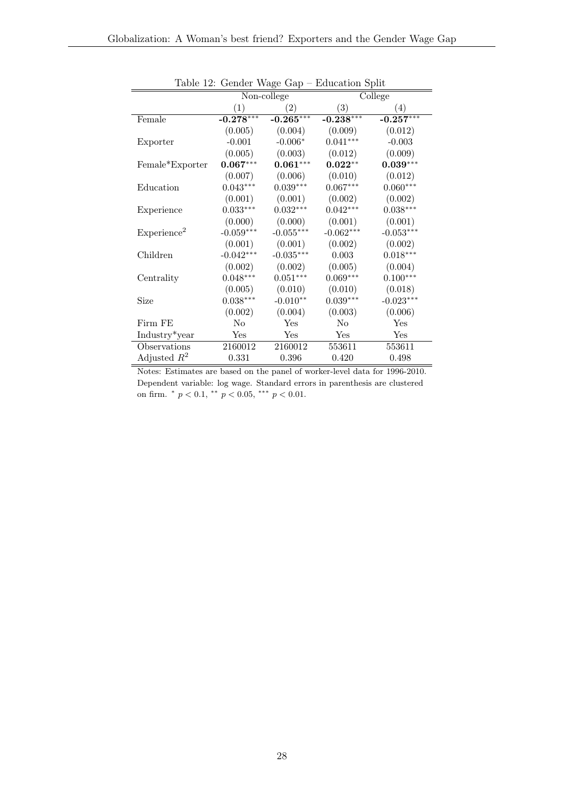|                         |             | Non-college         | College     |             |  |
|-------------------------|-------------|---------------------|-------------|-------------|--|
|                         | (1)         | (2)                 | (3)         | (4)         |  |
| Female                  | $-0.278***$ | $-0.265***$         | $-0.238***$ | $-0.257***$ |  |
|                         | (0.005)     | (0.004)             | (0.009)     | (0.012)     |  |
| Exporter                | $-0.001$    | $-0.006*$           | $0.041***$  | $-0.003$    |  |
|                         | (0.005)     | (0.003)             | (0.012)     | (0.009)     |  |
| Female*Exporter         | $0.067***$  | $0.061***$          | $0.022**$   | $0.039***$  |  |
|                         | (0.007)     | (0.006)             | (0.010)     | (0.012)     |  |
| Education               | $0.043***$  | $0.039***$          | $0.067***$  | $0.060***$  |  |
|                         | (0.001)     | (0.001)             | (0.002)     | (0.002)     |  |
| Experience              | $0.033***$  | $0.032***$          | $0.042***$  | $0.038***$  |  |
|                         | (0.000)     | (0.000)             | (0.001)     | (0.001)     |  |
| Experience <sup>2</sup> | $-0.059***$ | $-0.055***$         | $-0.062***$ | $-0.053***$ |  |
|                         | (0.001)     | (0.001)             | (0.002)     | (0.002)     |  |
| Children                | $-0.042***$ | $-0.035***$         | 0.003       | $0.018***$  |  |
|                         | (0.002)     | (0.002)             | (0.005)     | (0.004)     |  |
| Centrality              | $0.048***$  | $0.051***$          | $0.069***$  | $0.100***$  |  |
|                         | (0.005)     | (0.010)             | (0.010)     | (0.018)     |  |
| Size                    | $0.038***$  | $-0.010^{\ast\ast}$ | $0.039***$  | $-0.023***$ |  |
|                         | (0.002)     | (0.004)             | (0.003)     | (0.006)     |  |
| Firm FE                 | $\rm No$    | Yes                 | $\rm No$    | Yes         |  |
| Industry*year           | Yes         | Yes                 | Yes         | Yes         |  |
| Observations            | 2160012     | 2160012             | 553611      | 553611      |  |
| Adjusted $R^2$          | 0.331       | 0.396               | 0.420       | 0.498       |  |

<span id="page-28-0"></span>Table 12: Gender Wage Gap – Education Split

Notes: Estimates are based on the panel of worker-level data for 1996-2010. Dependent variable: log wage. Standard errors in parenthesis are clustered on firm.  $\degree p < 0.1, \degree \degree p < 0.05, \degree \degree \degree p < 0.01.$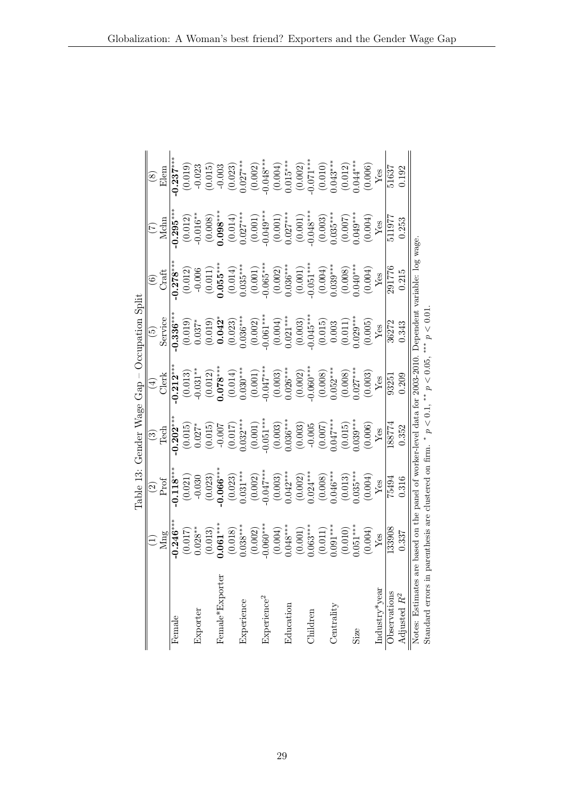<span id="page-29-0"></span>Globalization: A Woman's best friend? Exporters and the Gender Wage Gap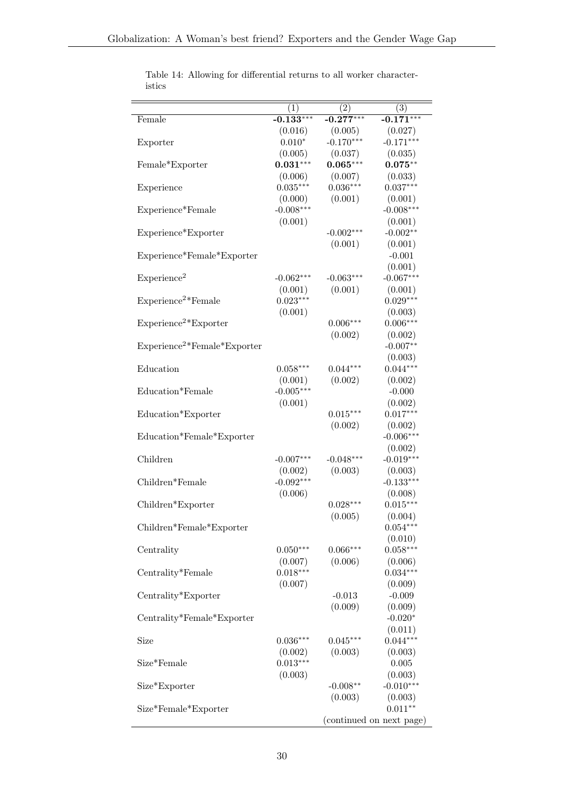<span id="page-30-0"></span>

|                               | $\left( 1\right)$      | $\left( 2\right)$ | $\left( 3\right)$        |
|-------------------------------|------------------------|-------------------|--------------------------|
| Female                        | $-0.133***$            | $-0.277***$       | $-0.171***$              |
|                               | (0.016)                | (0.005)           | (0.027)                  |
| Exporter                      | $0.010*$               | $-0.170***$       | $-0.171***$              |
|                               | (0.005)                | (0.037)           | (0.035)                  |
| Female*Exporter               | $0.031***$             | $0.065***$        | $0.075***$               |
|                               | (0.006)                | (0.007)           | (0.033)                  |
| Experience                    | $0.035***$             | $0.036***$        | $0.037***$               |
|                               | (0.000)                | (0.001)           | (0.001)                  |
| Experience*Female             | $-0.008***$            |                   | $-0.008***$              |
|                               | (0.001)                |                   | (0.001)                  |
| Experience*Exporter           |                        | $-0.002***$       | $-0.002**$               |
|                               |                        | (0.001)           | (0.001)                  |
| Experience*Female*Exporter    |                        |                   | $-0.001$                 |
|                               |                        |                   | (0.001)                  |
| Experience <sup>2</sup>       | $-0.062***$            | $-0.063***$       | $-0.067***$              |
|                               | (0.001)                | (0.001)           | (0.001)                  |
| $Experience2*Female$          | $0.023***$             |                   | $0.029***$               |
|                               | (0.001)                |                   | (0.003)                  |
| $Experience2*Exporter$        |                        | $0.006***$        | $0.006***$               |
|                               |                        | (0.002)           | (0.002)                  |
| $Experience2*Female*Exporter$ |                        |                   | $-0.007**$               |
|                               |                        |                   | (0.003)                  |
| Education                     | $0.058***$             | $0.044***$        | $0.044***$               |
|                               | (0.001)                | (0.002)           | (0.002)                  |
| Education*Female              | $-0.005***$            |                   | $-0.000$                 |
|                               | (0.001)                |                   | (0.002)                  |
| Education*Exporter            |                        | $0.015***$        | $0.017***$               |
|                               |                        | (0.002)           | (0.002)                  |
| Education*Female*Exporter     |                        |                   | $-0.006***$              |
| Children                      |                        |                   | (0.002)<br>$-0.019***$   |
|                               | $-0.007***$            | $-0.048***$       |                          |
| Children*Female               | (0.002)<br>$-0.092***$ | (0.003)           | (0.003)<br>$-0.133***$   |
|                               | (0.006)                |                   |                          |
| Children*Exporter             |                        | $0.028***$        | (0.008)<br>$0.015***$    |
|                               |                        | (0.005)           | (0.004)                  |
| Children*Female*Exporter      |                        |                   | $0.054***$               |
|                               |                        |                   | (0.010)                  |
| Centrality                    | $0.050***$             | $0.066***$        | $0.058***$               |
|                               | (0.007)                | (0.006)           | (0.006)                  |
| Centrality*Female             | $0.018***$             |                   | $0.034***$               |
|                               | (0.007)                |                   | (0.009)                  |
| Centrality*Exporter           |                        | $-0.013$          | $-0.009$                 |
|                               |                        | (0.009)           | (0.009)                  |
| Centrality*Female*Exporter    |                        |                   | $-0.020*$                |
|                               |                        |                   | (0.011)                  |
| Size                          | $0.036***$             | $0.045***$        | $0.044***$               |
|                               | (0.002)                | (0.003)           | (0.003)                  |
| Size*Female                   | $0.013***$             |                   | $0.005\,$                |
|                               | (0.003)                |                   | (0.003)                  |
| Size*Exporter                 |                        | $-0.008**$        | $-0.010***$              |
|                               |                        | (0.003)           | (0.003)                  |
| Size*Female*Exporter          |                        |                   | $0.011**$                |
|                               |                        |                   | (continued on next page) |

Table 14: Allowing for differential returns to all worker characteristics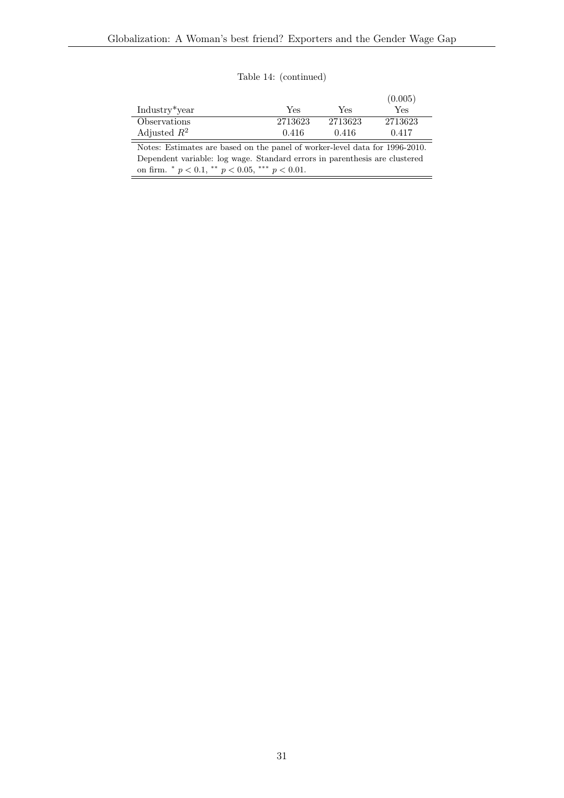Table 14: (continued)

|                                                                             |         |         | (0.005)    |  |  |  |
|-----------------------------------------------------------------------------|---------|---------|------------|--|--|--|
| Industry <sup>*</sup> year                                                  | Yes     | Yes     | <b>Yes</b> |  |  |  |
| Observations                                                                | 2713623 | 2713623 | 2713623    |  |  |  |
| Adjusted $R^2$                                                              | 0.416   | 0.416   | 0.417      |  |  |  |
| Notes: Estimates are based on the panel of worker-level data for 1996-2010. |         |         |            |  |  |  |
| Dependent variable: log wage. Standard errors in parenthesis are clustered  |         |         |            |  |  |  |

on firm.  $\degree p < 0.1, \degree \degree p < 0.05, \degree \degree \degree p < 0.01.$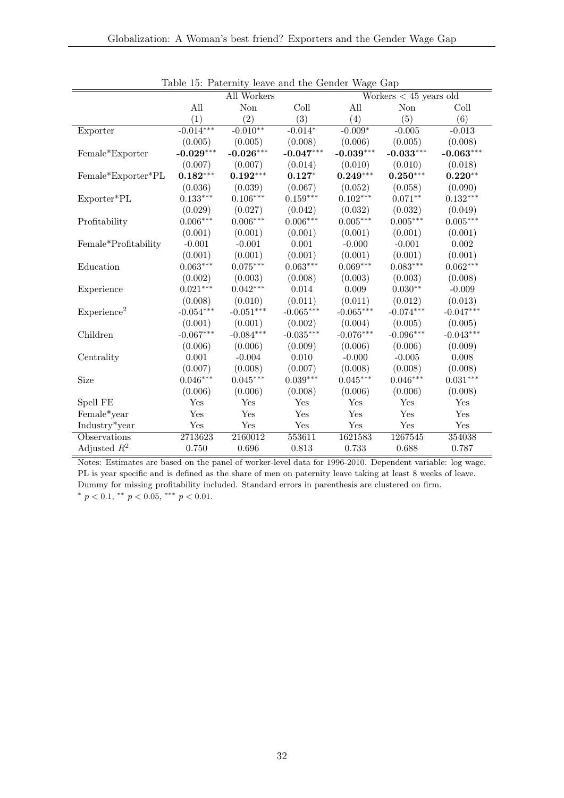|                         | asic 10. I accrime, four and the contact wage cup<br>All Workers<br>Workers $< 45$ years old |              |             |             |             |                 |
|-------------------------|----------------------------------------------------------------------------------------------|--------------|-------------|-------------|-------------|-----------------|
|                         | All                                                                                          | $\mbox{Non}$ | Coll        | All         | Non         | Coll            |
|                         | (1)                                                                                          | (2)          | (3)         | (4)         | (5)         | (6)             |
| Exporter                | $-0.014***$                                                                                  | $-0.010**$   | $-0.014*$   | $-0.009*$   | $-0.005$    | $-0.013$        |
|                         | (0.005)                                                                                      | (0.005)      | (0.008)     | (0.006)     | (0.005)     | (0.008)         |
| Female*Exporter         | $-0.029***$                                                                                  | $-0.026***$  | $-0.047***$ | $-0.039***$ | $-0.033***$ | $-0.063***$     |
|                         | (0.007)                                                                                      | (0.007)      | (0.014)     | (0.010)     | (0.010)     | (0.018)         |
| Female*Exporter*PL      | $0.182***$                                                                                   | $0.192***$   | $0.127*$    | $0.249***$  | $0.250***$  | $0.220**$       |
|                         | (0.036)                                                                                      | (0.039)      | (0.067)     | (0.052)     | (0.058)     | (0.090)         |
| Exporter*PL             | $0.133***$                                                                                   | $0.106***$   | $0.159***$  | $0.102***$  | $0.071**$   | $0.132^{***}\,$ |
|                         | (0.029)                                                                                      | (0.027)      | (0.042)     | (0.032)     | (0.032)     | (0.049)         |
| Profitability           | $0.006***$                                                                                   | $0.006***$   | $0.006***$  | $0.005***$  | $0.005***$  | $0.005***$      |
|                         | (0.001)                                                                                      | (0.001)      | (0.001)     | (0.001)     | (0.001)     | (0.001)         |
| Female*Profitability    | $-0.001$                                                                                     | $-0.001$     | $0.001\,$   | $-0.000$    | $-0.001$    | $0.002\,$       |
|                         | (0.001)                                                                                      | (0.001)      | (0.001)     | (0.001)     | (0.001)     | (0.001)         |
| Education               | $0.063***$                                                                                   | $0.075***$   | $0.063***$  | $0.069***$  | $0.083***$  | $0.062***$      |
|                         | (0.002)                                                                                      | (0.003)      | (0.008)     | (0.003)     | (0.003)     | (0.008)         |
| Experience              | $0.021***$                                                                                   | $0.042***$   | 0.014       | 0.009       | $0.030**$   | $-0.009$        |
|                         | (0.008)                                                                                      | (0.010)      | (0.011)     | (0.011)     | (0.012)     | (0.013)         |
| Experience <sup>2</sup> | $-0.054***$                                                                                  | $-0.051***$  | $-0.065***$ | $-0.065***$ | $-0.074***$ | $-0.047***$     |
|                         | (0.001)                                                                                      | (0.001)      | (0.002)     | (0.004)     | (0.005)     | (0.005)         |
| Children                | $-0.067***$                                                                                  | $-0.084***$  | $-0.035***$ | $-0.076***$ | $-0.096***$ | $-0.043***$     |
|                         | (0.006)                                                                                      | (0.006)      | (0.009)     | (0.006)     | (0.006)     | (0.009)         |
| Centrality              | 0.001                                                                                        | $-0.004$     | 0.010       | $-0.000$    | $-0.005$    | 0.008           |
|                         | (0.007)                                                                                      | (0.008)      | (0.007)     | (0.008)     | (0.008)     | (0.008)         |
| Size                    | $0.046***$                                                                                   | $0.045***$   | $0.039***$  | $0.045***$  | $0.046***$  | $0.031***$      |
|                         | (0.006)                                                                                      | (0.006)      | (0.008)     | (0.006)     | (0.006)     | (0.008)         |
| Spell FE                | Yes                                                                                          | Yes          | Yes         | Yes         | Yes         | Yes             |
| Female*year             | Yes                                                                                          | Yes          | Yes         | Yes         | Yes         | Yes             |
| Industry*year           | Yes                                                                                          | Yes          | Yes         | Yes         | Yes         | Yes             |
| Observations            | 2713623                                                                                      | 2160012      | 553611      | 1621583     | 1267545     | 354038          |
| Adjusted $R^2$          | 0.750                                                                                        | 0.696        | 0.813       | 0.733       | 0.688       | 0.787           |

<span id="page-32-0"></span>Table 15: Paternity leave and the Gender Wage Gap

Notes: Estimates are based on the panel of worker-level data for 1996-2010. Dependent variable: log wage. PL is year specific and is defined as the share of men on paternity leave taking at least 8 weeks of leave. Dummy for missing profitability included. Standard errors in parenthesis are clustered on firm. \*  $p < 0.1$ , \*\*  $p < 0.05$ , \*\*\*  $p < 0.01$ .